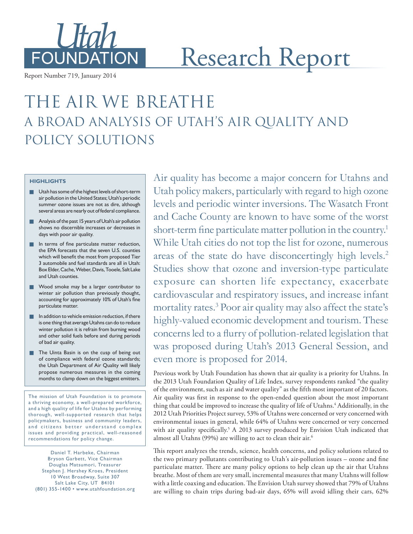

Report Number 719, January 2014

# Research Report

# The Air We Breathe A Broad Analysis of Utah's Air Quality and POLICY SOLUTIONS

#### **HIGHLIGHTS**

- **Lat** Utah has some of the highest levels of short-term air pollution in the United States; Utah's periodic summer ozone issues are not as dire, although several areas are nearly out of federal compliance.
- **Analysis of the past 15 years of Utah's air pollution** shows no discernible increases or decreases in days with poor air quality.
- $\blacksquare$  In terms of fine particulate matter reduction, the EPA forecasts that the seven U.S. counties which will benefit the most from proposed Tier 3 automobile and fuel standards are all in Utah: Box Elder, Cache, Weber, Davis, Tooele, Salt Lake and Utah counties.
- **Wood smoke may be a larger contributor to** winter air pollution than previously thought, accounting for approximately 10% of Utah's fine particulate matter.
- $\blacksquare$  In addition to vehicle emission reduction, if there is one thing that average Utahns can do to reduce winter pollution it is refrain from burning wood and other solid fuels before and during periods of bad air quality.
- **The Uinta Basin is on the cusp of being out** of compliance with federal ozone standards; the Utah Department of Air Quality will likely propose numerous measures in the coming months to clamp down on the biggest emitters.

The mission of Utah Foundation is to promote a thriving economy, a well-prepared workforce, and a high quality of life for Utahns by performing thorough, well-supported research that helps policymakers, business and community leaders, and citizens better understand complex issues and providing practical, well-reasoned recommendations for policy change.

Daniel T. Harbeke, Chairman Bryson Garbett, Vice Chairman Douglas Matsumori, Treasurer Stephen J. Hershey Kroes, President 10 West Broadway, Suite 307 Salt Lake City, UT 84101 (801) 355 -1400 • www.utahfoundation.org Air quality has become a major concern for Utahns and Utah policy makers, particularly with regard to high ozone levels and periodic winter inversions. The Wasatch Front and Cache County are known to have some of the worst short-term fine particulate matter pollution in the country.<sup>1</sup> While Utah cities do not top the list for ozone, numerous areas of the state do have disconcertingly high levels.<sup>2</sup> Studies show that ozone and inversion-type particulate exposure can shorten life expectancy, exacerbate cardiovascular and respiratory issues, and increase infant mortality rates.3 Poor air quality may also affect the state's highly-valued economic development and tourism. These concerns led to a flurry of pollution-related legislation that was proposed during Utah's 2013 General Session, and even more is proposed for 2014.

Previous work by Utah Foundation has shown that air quality is a priority for Utahns. In the 2013 Utah Foundation Quality of Life Index, survey respondents ranked "the quality of the environment, such as air and water quality" as the fifth most important of 20 factors. Air quality was first in response to the open-ended question about the most important thing that could be improved to increase the quality of life of Utahns.<sup>4</sup> Additionally, in the 2012 Utah Priorities Project survey, 53% of Utahns were concerned or very concerned with environmental issues in general, while 64% of Utahns were concerned or very concerned with air quality specifically.<sup>5</sup> A 2013 survey produced by Envision Utah indicated that almost all Utahns (99%) are willing to act to clean their air.6

This report analyzes the trends, science, health concerns, and policy solutions related to the two primary pollutants contributing to Utah's air-pollution issues – ozone and fine particulate matter. There are many policy options to help clean up the air that Utahns breathe. Most of them are very small, incremental measures that many Utahns will follow with a little coaxing and education. The Envision Utah survey showed that 79% of Utahns are willing to chain trips during bad-air days, 65% will avoid idling their cars, 62%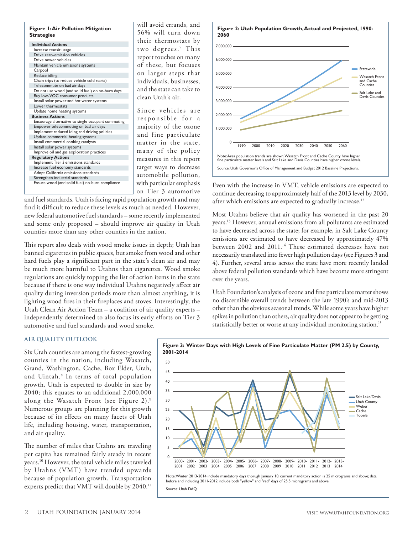#### **Figure 1: Air Pollution Mitigation Strategies**

|                                                    | the.  |
|----------------------------------------------------|-------|
| <b>Individual Actions</b>                          |       |
| Increase transit usage                             | two   |
| Drive zero-emission vehicles                       | repo  |
| Drive newer vehicles                               |       |
| Maintain vehicle emissions systems                 | of 1  |
| Carpool                                            | 0n    |
| Reduce idling                                      |       |
| Chain trips (to reduce vehicle cold starts)        | indi  |
| Telecommute on bad air days                        | and   |
| Do not use wood (and solid fuel) on no-burn days   |       |
| Buy low-VOC consumer products                      | clea  |
| Install solar power and hot water systems          |       |
| Lower thermostats                                  |       |
| Update home heating systems                        | Sin   |
| <b>Business Actions</b>                            | res   |
| Encourage alternative to single occupant commuting |       |
| Empower telecommuting on bad air days              | maj   |
| Implement reduced iding and driving policies       | and   |
| Update commercial heating systems                  |       |
| Install commercial cooking catalysts               | mat   |
| Install solar power systems                        |       |
| Improve oil and gas exploration practices          | m a 1 |
| <b>Regulatory Actions</b>                          | mea   |
| Implement Tier 3 emissions standards               |       |
| Increase fuel economy standards                    | targ  |
| Adopt California emissions standards               | auto  |
| Strengthen industrial standards                    |       |
| Ensure wood (and solid fuel) no-burn compliance    | with  |
|                                                    |       |

will avoid errands, and 56% will turn down ir thermostats by degrees.<sup>7</sup> This ort touches on many hese, but focuses larger steps that ividuals, businesses, the state can take to n Utah's air.

ce vehicles are ponsible for a ority of the ozone fine particulate ter in the state. ny of the policy sures in this report et ways to decrease automobile pollution, n particular emphasis on Tier 3 automotive

and fuel standards. Utah is facing rapid population growth and may find it difficult to reduce these levels as much as needed. However, new federal automotive fuel standards – some recently implemented and some only proposed – should improve air quality in Utah counties more than any other counties in the nation.

This report also deals with wood smoke issues in depth; Utah has banned cigarettes in public spaces, but smoke from wood and other hard fuels play a significant part in the state's clean air and may be much more harmful to Utahns than cigarettes. Wood smoke regulations are quickly topping the list of action items in the state because if there is one way individual Utahns negatively affect air quality during inversion periods more than almost anything, it is lighting wood fires in their fireplaces and stoves. Interestingly, the Utah Clean Air Action Team – a coalition of air quality experts – independently determined to also focus its early efforts on Tier 3 automotive and fuel standards and wood smoke.





Even with the increase in VMT, vehicle emissions are expected to continue decreasing to approximately half of the 2013 level by 2030, after which emissions are expected to gradually increase.<sup>12</sup>

Most Utahns believe that air quality has worsened in the past 20 years.13 However, annual emissions from all pollutants are estimated to have decreased across the state; for example, in Salt Lake County emissions are estimated to have decreased by approximately 47% between 2002 and 2011.<sup>14</sup> These estimated decreases have not necessarily translated into fewer high pollution days (see Figures 3 and 4). Further, several areas across the state have more recently landed above federal pollution standards which have become more stringent over the years.

Utah Foundation's analysis of ozone and fine particulate matter shows no discernible overall trends between the late 1990's and mid-2013 other than the obvious seasonal trends. While some years have higher spikes in pollution than others, air quality does not appear to be getting statistically better or worse at any individual monitoring station.<sup>15</sup>

#### **AIR QUALITY OUTLOOK**

Six Utah counties are among the fastest-growing counties in the nation, including Wasatch, Grand, Washington, Cache, Box Elder, Utah, and Uintah.8 In terms of total population growth, Utah is expected to double in size by 2040; this equates to an additional 2,000,000 along the Wasatch Front (see Figure 2).9 Numerous groups are planning for this growth because of its effects on many facets of Utah life, including housing, water, transportation, and air quality.

The number of miles that Utahns are traveling per capita has remained fairly steady in recent years.10 However, the total vehicle miles traveled by Utahns (VMT) have trended upwards because of population growth. Transportation experts predict that VMT will double by 2040.<sup>11</sup>



Note:Winter 2013-2014 include mandatory days thorugh January 10; current manditory action is 25 micrograms and above; data<br>before and including 2011-2012 include both "yellow" and "red" days of 25.5 micrograms and above. Source: Utah DAQ.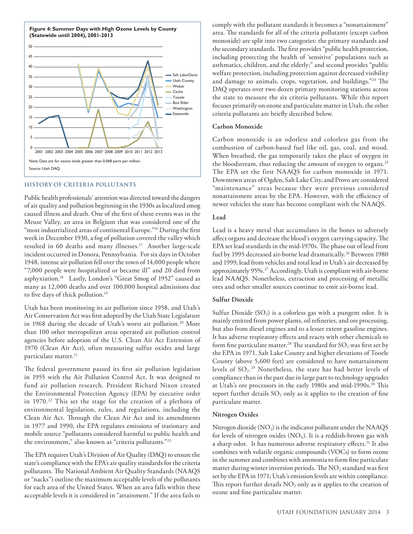

#### **HISTORY OF CRITERIA POLLUTANTS**

Public health professionals' attention was directed toward the dangers of air quality and pollution beginning in the 1930s as localized smog caused illness and death. One of the first of these events was in the Meuse Valley, an area in Belgium that was considered one of the "most industrialized areas of continental Europe."<sup>16</sup> During the first week in December 1930, a fog of pollution covered the valley which resulted in 60 deaths and many illnesses.<sup>17</sup> Another large-scale incident occurred in Donora, Pennsylvania. For six days in October 1948, intense air pollution fell over the town of 14,000 people where "7,000 people were hospitalized or became ill" and 20 died from asphyxiation.18 Lastly, London's "Great Smog of 1952" caused as many as 12,000 deaths and over 100,000 hospital admissions due to five days of thick pollution.19

Utah has been monitoring its air pollution since 1958, and Utah's Air Conservation Act was first adopted by the Utah State Legislature in 1968 during the decade of Utah's worst air pollution.<sup>20</sup> More than 100 other metropolitan areas operated air pollution control agencies before adoption of the U.S. Clean Air Act Extension of 1970 (Clean Air Act), often measuring sulfur oxides and large particulate matter.<sup>21</sup>

The federal government passed its first air pollution legislation in 1955 with the Air Pollution Control Act. It was designed to fund air pollution research. President Richard Nixon created the Environmental Protection Agency (EPA) by executive order in 1970.22 This set the stage for the creation of a plethora of environmental legislation, rules, and regulations, including the Clean Air Act. Through the Clean Air Act and its amendments in 1977 and 1990, the EPA regulates emissions of stationary and mobile source "pollutants considered harmful to public health and the environment," also known as "criteria pollutants."23

The EPA requires Utah's Division of Air Quality (DAQ) to ensure the state's compliance with the EPA's air quality standards for the criteria pollutants. The National Ambient Air Quality Standards (NAAQS or "nacks") outline the maximum acceptable levels of the pollutants for each area of the United States. When an area falls within these acceptable levels it is considered in "attainment." If the area fails to comply with the pollutant standards it becomes a "nonattainment" area. The standards for all of the criteria pollutants (except carbon monoxide) are split into two categories: the primary standards and the secondary standards. The first provides "public health protection, including protecting the health of 'sensitive' populations such as asthmatics, children, and the elderly;" and second provides "public welfare protection, including protection against decreased visibility and damage to animals, crops, vegetation, and buildings."24 The DAQ operates over two dozen primary monitoring stations across the state to measure the six criteria pollutants. While this report focuses primarily on ozone and particulate matter in Utah, the other criteria pollutants are briefly described below.

#### **Carbon Monoxide**

Carbon monoxide is an odorless and colorless gas from the combustion of carbon-based fuel like oil, gas, coal, and wood. When breathed, the gas temporarily takes the place of oxygen in the bloodstream, thus reducing the amount of oxygen to organs.<sup>25</sup> The EPA set the first NAAQS for carbon monoxide in 1971. Downtown areas of Ogden, Salt Lake City, and Provo are considered "maintenance" areas because they were previous considered nonattainment areas by the EPA. However, with the efficiency of newer vehicles the state has become compliant with the NAAQS.

#### **Lead**

Lead is a heavy metal that accumulates in the bones to adversely affect organs and decrease the blood's oxygen carrying capacity. The EPA set lead standards in the mid-1970s. The phase out of lead from fuel by 1995 decreased air-borne lead dramatically.<sup>26</sup> Between 1980 and 1999, lead from vehicles and total lead in Utah's air decreased by approximately 95%.27 Accordingly, Utah is compliant with air-borne lead NAAQS. Nonetheless, extraction and processing of metallic ores and other smaller sources continue to emit air-borne lead.

#### **Sulfur Dioxide**

Sulfur Dioxide  $(SO_2)$  is a colorless gas with a pungent odor. It is mainly emitted from power plants, oil refineries, and ore processing, but also from diesel engines and to a lesser extent gasoline engines. It has adverse respiratory effects and reacts with other chemicals to form fine particulate matter.<sup>28</sup> The standard for  $SO_2$  was first set by the EPA in 1971. Salt Lake County and higher elevations of Tooele County (above 5,600 feet) are considered to have nonattainment levels of  $SO_2$ .<sup>29</sup> Nonetheless, the state has had better levels of compliance than in the past due in large part to technology upgrades at Utah's ore processors in the early 1980s and mid-1990s.30 This report further details  $SO_2$  only as it applies to the creation of fine particulate matter.

#### **Nitrogen Oxides**

Nitrogen dioxide  $(NO<sub>2</sub>)$  is the indicator pollutant under the NAAQS for levels of nitrogen oxides  $(NO<sub>x</sub>)$ . It is a reddish-brown gas with a sharp odor. It has numerous adverse respiratory effects.31 It also combines with volatile organic compounds (VOCs) to form ozone in the summer and combines with ammonia to form fine particulate matter during winter inversion periods. The  $NO<sub>2</sub>$  standard was first set by the EPA in 1971; Utah's emission levels are within compliance. This report further details  $NO<sub>2</sub>$  only as it applies to the creation of ozone and fine particulate matter.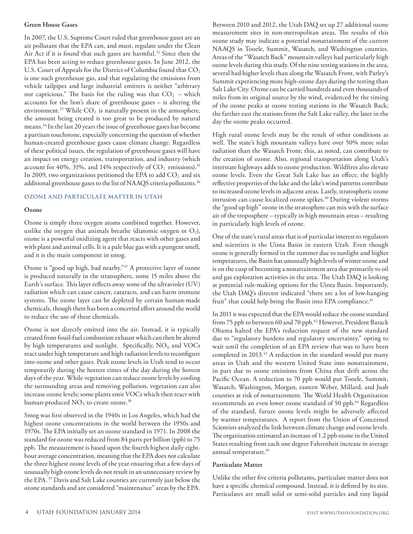#### **Green House Gases**

In 2007, the U.S. Supreme Court ruled that greenhouse gases are an air pollutant that the EPA can, and must, regulate under the Clean Air Act if it is found that such gases are harmful.<sup>32</sup> Since then the EPA has been acting to reduce greenhouse gases. In June 2012, the U.S. Court of Appeals for the District of Columbia found that CO<sub>2</sub> is one such greenhouse gas, and that regulating the emissions from vehicle tailpipes and large industrial emitters is neither "arbitrary nor capricious." The basis for the ruling was that  $CO<sub>2</sub>$  – which accounts for the lion's share of greenhouse gases – is altering the environment.<sup>33</sup> While  $CO<sub>2</sub>$  is naturally present in the atmosphere, the amount being created is too great to be produced by natural means.34 In the last 20 years the issue of greenhouse gases has become a partisan touchstone, especially concerning the question of whether human-created greenhouse gases cause climate change. Regardless of these political issues, the regulation of greenhouse gases will have an impact on energy creation, transportation, and industry (which account for 40%, 31%, and 14% respectively of  $CO<sub>2</sub>$  emissions).<sup>35</sup> In 2009, two organizations petitioned the EPA to add  $CO<sub>2</sub>$  and six additional greenhouse gases to the list of NAAQS criteria pollutants.<sup>36</sup>

### **OZONE AND PARTICULATE MATTER IN UTAH**

#### **Ozone**

Ozone is simply three oxygen atoms combined together. However, unlike the oxygen that animals breathe (diatomic oxygen or  $O_2$ ), ozone is a powerful oxidizing agent that reacts with other gases and with plant and animal cells. It is a pale blue gas with a pungent smell, and it is the main component in smog.

Ozone is "good up high, bad nearby."37 A protective layer of ozone is produced naturally in the stratosphere, some 15 miles above the Earth's surface. This layer reflects away some of the ultraviolet (UV) radiation which can cause cancer, cataracts, and can harm immune systems. The ozone layer can be depleted by certain human-made chemicals, though there has been a concerted effort around the world to reduce the use of these chemicals.

Ozone is not directly emitted into the air. Instead, it is typically created from fossil-fuel combustion exhaust which can then be altered by high temperatures and sunlight. Specifically,  $NO<sub>X</sub>$  and  $VOCs$ react under high temperature and high radiation levels to reconfigure into ozone and other gases. Peak ozone levels in Utah tend to occur temporarily during the hottest times of the day during the hottest days of the year. While vegetation can reduce ozone levels by cooling the surrounding areas and removing pollution, vegetation can also increase ozone levels; some plants emit VOCs which then react with human-produced  $NO<sub>X</sub>$  to create ozone.<sup>38</sup>

Smog was first observed in the 1940s in Los Angeles, which had the highest ozone concentrations in the world between the 1950s and 1970s. The EPA initially set an ozone standard in 1971. In 2008 the standard for ozone was reduced from 84 parts per billion (ppb) to 75 ppb. The measurement is based upon the fourth highest daily eighthour average concentration, meaning that the EPA does not calculate the three highest ozone levels of the year ensuring that a few days of unusually high ozone levels do not result in an unnecessary review by the EPA. 39 Davis and Salt Lake counties are currently just below the ozone standards and are considered "maintenance" areas by the EPA.

Between 2010 and 2012, the Utah DAQ set up 27 additional ozone measurement sites in non-metropolitan areas. The results of this ozone study may indicate a potential nonattainment of the current NAAQS in Tooele, Summit, Wasatch, and Washington counties. Areas of the "Wasatch Back" mountain valleys had particularly high ozone levels during this study. Of the nine testing stations in the area, several had higher levels than along the Wasatch Front, with Parley's Summit experiencing more high-ozone days during the testing than Salt Lake City. Ozone can be carried hundreds and even thousands of miles from its original source by the wind, evidenced by the timing of the ozone peaks at ozone testing stations in the Wasatch Back; the farther east the stations from the Salt Lake valley, the later in the day the ozone peaks occurred.

High rural ozone levels may be the result of other conditions as well. The state's high mountain valleys have over 50% more solar radiation than the Wasatch Front; this, as noted, can contribute to the creation of ozone. Also, regional transportation along Utah's interstate highways adds to ozone production. Wildfires also elevate ozone levels. Even the Great Salt Lake has an effect; the highly reflective properties of the lake and the lake's wind patterns contribute to increased ozone levels in adjacent areas. Lastly, stratospheric ozone intrusion can cause localized ozone spikes.<sup>40</sup> During violent storms the "good up high" ozone in the stratosphere can mix with the surface air of the troposphere – typically in high mountain areas – resulting in particularly high levels of ozone.

One of the state's rural areas that is of particular interest to regulators and scientists is the Uinta Basin in eastern Utah. Even though ozone is generally formed in the summer due to sunlight and higher temperatures, the Basin has unusually high levels of winter ozone and is on the cusp of becoming a nonattainment area due primarily to oil and gas exploration activities in the area. The Utah DAQ is looking at potential rule-making options for the Uinta Basin. Importantly, the Utah DAQ's director indicated "there are a lot of low-hanging fruit" that could help bring the Basin into EPA compliance.<sup>41</sup>

In 2011 it was expected that the EPA would reduce the ozone standard from 75 ppb to between 60 and 70 ppb.<sup>42</sup> However, President Barack Obama halted the EPA's reduction request of the new standard due to "regulatory burdens and regulatory uncertainty," opting to wait until the completion of an EPA review that was to have been completed in 2013.<sup>43</sup> A reduction in the standard would put many areas in Utah and the western United State into nonattainment, in part due to ozone emissions from China that drift across the Pacific Ocean. A reduction to 70 ppb would put Tooele, Summit, Wasatch, Washington, Morgan, eastern Weber, Millard, and Juab counties at risk of nonattainment. The World Health Organization recommends an even lower ozone standard of 50 ppb.<sup>44</sup> Regardless of the standard, future ozone levels might be adversely affected by warmer temperatures. A report from the Union of Concerned Scientists analyzed the link between climate change and ozone levels. The organization estimated an increase of 1.2 ppb ozone in the United States resulting from each one degree Fahrenheit increase in average annual temperature.45

#### **Particulate Matter**

Unlike the other five criteria pollutants, particulate matter does not have a specific chemical compound. Instead, it is defined by its size. Particulates are small solid or semi-solid particles and tiny liquid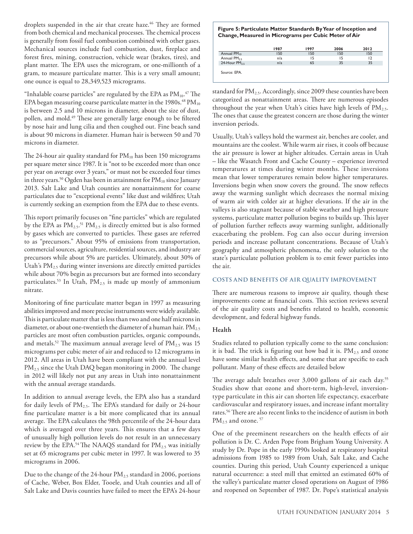droplets suspended in the air that create haze.<sup>46</sup> They are formed from both chemical and mechanical processes. The chemical process is generally from fossil fuel combustion combined with other gases. Mechanical sources include fuel combustion, dust, fireplace and forest fires, mining, construction, vehicle wear (brakes, tires), and plant matter. The EPA uses the microgram, or one-millionth of a gram, to measure particulate matter. This is a very small amount; one ounce is equal to 28,349,523 micrograms.

"Inhalable coarse particles" are regulated by the EPA as  $\rm PM_{10}.^{\rm 47}$  The EPA began measuring coarse particulate matter in the  $1980s$ .<sup>48</sup> PM<sub>10</sub> is between 2.5 and 10 microns in diameter, about the size of dust, pollen, and mold.<sup>49</sup> These are generally large enough to be filtered by nose hair and lung cilia and then coughed out. Fine beach sand is about 90 microns in diameter. Human hair is between 50 and 70 microns in diameter.

The 24-hour air quality standard for  $PM_{10}$  has been 150 micrograms per square meter since 1987. It is "not to be exceeded more than once per year on average over 3 years," or must not be exceeded four times in three years.<sup>50</sup> Ogden has been in attainment for  $PM_{10}$  since January 2013. Salt Lake and Utah counties are nonattainment for coarse particulates due to "exceptional events" like dust and wildfires; Utah is currently seeking an exemption from the EPA due to these events.

This report primarily focuses on "fine particles" which are regulated by the EPA as  $PM_{2.5}$ .<sup>51</sup>  $PM_{2.5}$  is directly emitted but is also formed by gases which are converted to particles. These gases are referred to as "precursors." About 95% of emissions from transportation, commercial sources, agriculture, residential sources, and industry are precursors while about 5% are particles. Ultimately, about 30% of Utah's  $PM_{2.5}$  during winter inversions are directly emitted particles while about 70% begin as precursors but are formed into secondary particulates.<sup>53</sup> In Utah,  $PM_{2.5}$  is made up mostly of ammonium nitrate.

Monitoring of fine particulate matter began in 1997 as measuring abilities improved and more precise instruments were widely available. This is particulate matter that is less than two and one half microns in diameter, or about one-twentieth the diameter of a human hair.  $PM_{2.5}$ particles are most often combustion particles, organic compounds, and metals.<sup>52</sup> The maximum annual average level of  $PM_{2.5}$  was 15 micrograms per cubic meter of air and reduced to 12 micrograms in 2012. All areas in Utah have been compliant with the annual level PM<sub>2.5</sub> since the Utah DAQ began monitoring in 2000. The change in 2012 will likely not put any areas in Utah into nonattainment with the annual average standards.

In addition to annual average levels, the EPA also has a standard for daily levels of  $PM_{2.5}$ . The EPA's standard for daily or 24-hour fine particulate matter is a bit more complicated that its annual average. The EPA calculates the 98th percentile of the 24-hour data which is averaged over three years. This ensures that a few days of unusually high pollution levels do not result in an unnecessary review by the EPA.<sup>54</sup> The NAAQS standard for  $PM_{2.5}$  was initially set at 65 micrograms per cubic meter in 1997. It was lowered to 35 micrograms in 2006.

Due to the change of the 24-hour PM<sub>2.5</sub> standard in 2006, portions of Cache, Weber, Box Elder, Tooele, and Utah counties and all of Salt Lake and Davis counties have failed to meet the EPA's 24-hour

#### **Figure 5: Particulate Matter Standards By Year of Inception and Change, Measured in Micrograms per Cubic Meter of Air**

|                          | 1987 | 1997 | 2006 | 2012 |
|--------------------------|------|------|------|------|
| Annual PM <sub>10</sub>  | 150  | 150  | 150  | 150  |
| Annual $PM_{25}$         | n/a  | 15   |      | 12   |
| 24-Hour PM <sub>25</sub> | n/a  | 65   | 35   | 35   |
| Source: EPA.             |      |      |      |      |

standard for PM<sub>2.5</sub>. Accordingly, since 2009 these counties have been categorized as nonattainment areas. There are numerous episodes throughout the year when Utah's cities have high levels of  $PM<sub>2.5</sub>$ . The ones that cause the greatest concern are those during the winter inversion periods.

Usually, Utah's valleys hold the warmest air, benches are cooler, and mountains are the coolest. While warm air rises, it cools off because the air pressure is lower at higher altitudes. Certain areas in Utah – like the Wasatch Front and Cache County – experience inverted temperatures at times during winter months. These inversions mean that lower temperatures remain below higher temperatures. Inversions begin when snow covers the ground. The snow reflects away the warming sunlight which decreases the normal mixing of warm air with colder air at higher elevations. If the air in the valleys is also stagnant because of stable weather and high pressure systems, particulate matter pollution begins to builds up. This layer of pollution further reflects away warming sunlight, additionally exacerbating the problem. Fog can also occur during inversion periods and increase pollutant concentrations. Because of Utah's geography and atmospheric phenomena, the only solution to the state's particulate pollution problem is to emit fewer particles into the air.

#### **COSTS AND BENEFITS OF AIR QUALITY IMPROVEMENT**

There are numerous reasons to improve air quality, though these improvements come at financial costs. This section reviews several of the air quality costs and benefits related to health, economic development, and federal highway funds.

#### **Health**

Studies related to pollution typically come to the same conclusion: it is bad. The trick is figuring out how bad it is.  $PM_{2.5}$  and ozone have some similar health effects, and some that are specific to each pollutant. Many of these effects are detailed below

The average adult breathes over 3,000 gallons of air each day.<sup>55</sup> Studies show that ozone and short-term, high-level, inversiontype particulate in this air can shorten life expectancy, exacerbate cardiovascular and respiratory issues, and increase infant mortality rates.56 There are also recent links to the incidence of autism in both PM<sub>2.5</sub> and ozone. 57

One of the preeminent researchers on the health effects of air pollution is Dr. C. Arden Pope from Brigham Young University. A study by Dr. Pope in the early 1990s looked at respiratory hospital admissions from 1985 to 1989 from Utah, Salt Lake, and Cache counties. During this period, Utah County experienced a unique natural occurrence: a steel mill that emitted an estimated 60% of the valley's particulate matter closed operations on August of 1986 and reopened on September of 1987. Dr. Pope's statistical analysis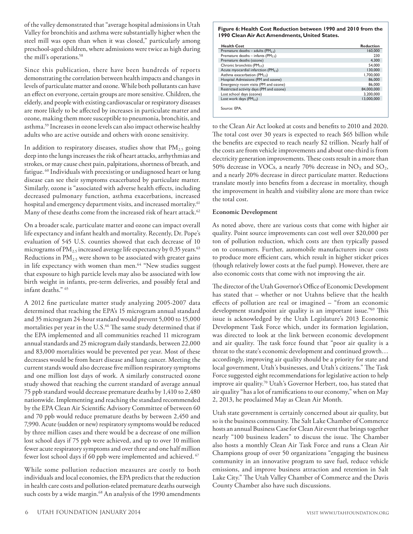of the valley demonstrated that "average hospital admissions in Utah Valley for bronchitis and asthma were substantially higher when the steel mill was open than when it was closed," particularly among preschool-aged children, where admissions were twice as high during the mill's operations.<sup>58</sup>

Since this publication, there have been hundreds of reports demonstrating the correlation between health impacts and changes in levels of particulate matter and ozone. While both pollutants can have an effect on everyone, certain groups are more sensitive. Children, the elderly, and people with existing cardiovascular or respiratory diseases are more likely to be affected by increases in particulate matter and ozone, making them more susceptible to pneumonia, bronchitis, and asthma.59 Increases in ozone levels can also impact otherwise healthy adults who are active outside and others with ozone sensitivity.

In addition to respiratory diseases, studies show that  $PM_{2.5}$  going deep into the lungs increases the risk of heart attacks, arrhythmias and strokes, or may cause chest pain, palpitations, shortness of breath, and fatigue. <sup>60</sup> Individuals with preexisting or undiagnosed heart or lung disease can see their symptoms exacerbated by particulate matter. Similarly, ozone is "associated with adverse health effects, including decreased pulmonary function, asthma exacerbations, increased hospital and emergency department visits, and increased mortality.<sup>61</sup> Many of these deaths come from the increased risk of heart attack.<sup>62</sup>

On a broader scale, particulate matter and ozone can impact overall life expectancy and infant health and mortality. Recently, Dr. Pope's evaluation of 545 U.S. counties showed that each decrease of 10 micrograms of  $PM_{2.5}$  increased average life expectancy by 0.35 years.<sup>63</sup> Reductions in  $PM_{2.5}$  were shown to be associated with greater gains in life expectancy with women than men.<sup>64</sup> "New studies suggest that exposure to high particle levels may also be associated with low birth weight in infants, pre-term deliveries, and possibly fetal and infant deaths." 65

A 2012 fine particulate matter study analyzing 2005-2007 data determined that reaching the EPA's 15 microgram annual standard and 35 microgram 24-hour standard would prevent 5,000 to 15,000 mortalities per year in the U.S.<sup>66</sup> The same study determined that if the EPA implemented and all communities reached 11 microgram annual standards and 25 microgram daily standards, between 22,000 and 83,000 mortalities would be prevented per year. Most of these decreases would be from heart disease and lung cancer. Meeting the current stands would also decrease five million respiratory symptoms and one million lost days of work. A similarly constructed ozone study showed that reaching the current standard of average annual 75 ppb standard would decrease premature deaths by 1,410 to 2,480 nationwide. Implementing and reaching the standard recommended by the EPA Clean Air Scientific Advisory Committee of between 60 and 70 ppb would reduce premature deaths by between 2,450 and 7,990. Acute (sudden or new) respiratory symptoms would be reduced by three million cases and there would be a decrease of one million lost school days if 75 ppb were achieved, and up to over 10 million fewer acute respiratory symptoms and over three and one half million fewer lost school days if 60 ppb were implemented and achieved. <sup>67</sup>

While some pollution reduction measures are costly to both individuals and local economies, the EPA predicts that the reduction in health care costs and pollution-related premature deaths outweigh such costs by a wide margin.<sup>68</sup> An analysis of the 1990 amendments

#### **Figure 6: Health Cost Reduction between 1990 and 2010 from the 1990 Clean Air Act Amendments, United States.**

| <b>Health Cost</b>                             | <b>Reduction</b> |
|------------------------------------------------|------------------|
| Premature deaths – adults (PM <sub>25</sub> )  | 160,000          |
| Premature deaths – infants (PM <sub>25</sub> ) | 230              |
| Premature deaths (ozone)                       | 4,300            |
| Chronic bronchitis ( $PM_2$ <sub>5</sub> )     | 54.000           |
| Acute myocardial infarction ( $PM_2$ ,)        | 130,000          |
| Asthma exacerbation ( $PM_2$ <sub>5</sub> )    | 1.700.000        |
| Hospital Admissions (PM and ozone)             | 86,000           |
| Emergency room visits (PM and ozone)           | 86.000           |
| Restricted activity days (PM and ozone)        | 84.000.000       |
| Lost school days (ozone)                       | 3.200.000        |
| Lost work days $(PM_2, )$                      | 13.000.000       |
| Source: EPA.                                   |                  |

to the Clean Air Act looked at costs and benefits to 2010 and 2020. The total cost over 30 years is expected to reach \$65 billion while the benefits are expected to reach nearly \$2 trillion. Nearly half of the costs are from vehicle improvements and about one-third is from electricity generation improvements. These costs result in a more than 50% decrease in VOCs, a nearly 70% decrease in  $NO<sub>X</sub>$  and  $SO<sub>2</sub>$ , and a nearly 20% decrease in direct particulate matter. Reductions translate mostly into benefits from a decrease in mortality, though the improvement in health and visibility alone are more than twice the total cost.

#### **Economic Development**

As noted above, there are various costs that come with higher air quality. Point source improvements can cost well over \$20,000 per ton of pollution reduction, which costs are then typically passed on to consumers. Further, automobile manufacturers incur costs to produce more efficient cars, which result in higher sticker prices (though relatively lower costs at the fuel pump). However, there are also economic costs that come with not improving the air.

The director of the Utah Governor's Office of Economic Development has stated that – whether or not Utahns believe that the health effects of pollution are real or imagined – "from an economic development standpoint air quality is an important issue."69 This issue is acknowledged by the Utah Legislature's 2013 Economic Development Task Force which, under its formation legislation, was directed to look at the link between economic development and air quality. The task force found that "poor air quality is a threat to the state's economic development and continued growth… accordingly, improving air quality should be a priority for state and local government, Utah's businesses, and Utah's citizens." The Task Force suggested eight recommendations for legislative action to help improve air quality.70 Utah's Governor Herbert, too, has stated that air quality "has a lot of ramifications to our economy," when on May 2, 2013, he proclaimed May as Clean Air Month.

Utah state government is certainly concerned about air quality, but so is the business community. The Salt Lake Chamber of Commerce hosts an annual Business Case for Clean Air event that brings together nearly "100 business leaders" to discuss the issue. The Chamber also hosts a monthly Clean Air Task Force and runs a Clean Air Champions group of over 50 organizations "engaging the business community in an innovative program to save fuel, reduce vehicle emissions, and improve business attraction and retention in Salt Lake City." The Utah Valley Chamber of Commerce and the Davis County Chamber also have such discussions.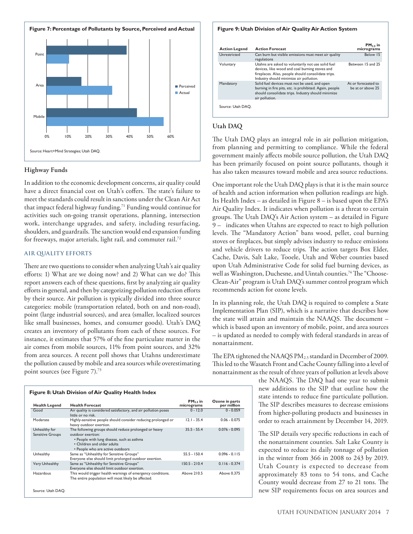

#### **Highway Funds**

In addition to the economic development concerns, air quality could have a direct financial cost on Utah's coffers. The state's failure to meet the standards could result in sanctions under the Clean Air Act that impact federal highway funding.71 Funding would continue for activities such on-going transit operations, planning, intersection work, interchange upgrades, and safety, including resurfacing, shoulders, and guardrails. The sanction would end expansion funding for freeways, major arterials, light rail, and commuter rail.72

#### **AIR QUALITY EFFORTS**

There are two questions to consider when analyzing Utah's air quality efforts: 1) What are we doing now? and 2) What can we do? This report answers each of these questions, first by analyzing air quality efforts in general, and then by categorizing pollution reduction efforts by their source. Air pollution is typically divided into three source categories: mobile (transportation related, both on and non-road), point (large industrial sources), and area (smaller, localized sources like small businesses, homes, and consumer goods). Utah's DAQ creates an inventory of pollutants from each of these sources. For instance, it estimates that 57% of the fine particulate matter in the air comes from mobile sources, 11% from point sources, and 32% from area sources. A recent poll shows that Utahns underestimate the pollution caused by mobile and area sources while overestimating point sources (see Figure 7).<sup>73</sup>

| <b>Health Legend</b>                     | <b>Health Forecast</b>                                                                                                                                                                      | $PM_2$ , in<br>micrograms | Ozone in parts<br>per million |
|------------------------------------------|---------------------------------------------------------------------------------------------------------------------------------------------------------------------------------------------|---------------------------|-------------------------------|
| Good                                     | Air quality is considered satisfactory, and air pollution poses<br>little or no risk.                                                                                                       | $0 - 12.0$                | $0 - 0.059$                   |
| Moderate                                 | Highly-sensitive people should consider reducing prolonged or<br>heavy outdoor exertion.                                                                                                    | $12.1 - 35.4$             | $0.06 - 0.075$                |
| Unhealthy for<br><b>Sensitive Groups</b> | The following groups should reduce prolonged or heavy<br>outdoor exertion:<br>• People with lung disease, such as asthma<br>• Children and older adults<br>• People who are active outdoors | $35.5 - 55.4$             | $0.076 - 0.095$               |
| Unhealthy                                | Same as "Unhealthy for Sensitive Groups"<br>Everyone else should limit prolonged outdoor exertion.                                                                                          | 55 5 - 150 4              | $0.096 - 0.115$               |
| <b>Very Unhealthy</b>                    | Same as "Unhealthy for Sensitive Groups"<br>Everyone else should limit outdoor exertion.                                                                                                    | $150.5 - 210.4$           | $0.116 - 0.374$               |
| Hazardous                                | This would trigger health warnings of emergency conditions.<br>The entire population will most likely be affected.                                                                          | Above 210.5               | Above 0.375                   |

#### **Figure 9: Utah Division of Air Quality Air Action System**

| <b>Action Legend</b> | <b>Action Forecast</b>                                                                                                                                                                                | $PM_2$ , in<br>micrograms                |
|----------------------|-------------------------------------------------------------------------------------------------------------------------------------------------------------------------------------------------------|------------------------------------------|
| Unrestricted         | Can burn but visible emissions must meet air quality<br>regulations                                                                                                                                   | Below 15                                 |
| Voluntary            | Utahns are asked to voluntarily not use solid fuel<br>devices, like wood and coal burning stoves and<br>fireplaces. Also, people should consolidate trips.<br>Industry should minimize air pollution. | Between 15 and 25                        |
| Mandatory            | Solid fuel devices must not be used, and open<br>burning in fire pits, etc. is prohibited. Again, people<br>should consolidate trips. Industry should minimize<br>air pollution.                      | At or forecasted to<br>be at or above 25 |
| Source: Utah DAO.    |                                                                                                                                                                                                       |                                          |

#### **Utah DAQ**

The Utah DAQ plays an integral role in air pollution mitigation, from planning and permitting to compliance. While the federal government mainly affects mobile source pollution, the Utah DAQ has been primarily focused on point source pollutants, though it has also taken measures toward mobile and area source reductions.

One important role the Utah DAQ plays is that it is the main source of health and action information when pollution readings are high. Its Health Index – as detailed in Figure 8 – is based upon the EPA's Air Quality Index. It indicates when pollution is a threat to certain groups. The Utah DAQ's Air Action system – as detailed in Figure 9 – indicates when Utahns are expected to react to high pollution levels. The "Mandatory Action" bans wood, pellet, coal burning stoves or fireplaces, but simply advises industry to reduce emissions and vehicle drivers to reduce trips. The action targets Box Elder, Cache, Davis, Salt Lake, Tooele, Utah and Weber counties based upon Utah Administrative Code for solid fuel burning devices, as well as Washington, Duchesne, and Uintah counties.<sup>74</sup> The "Choose-Clean-Air" program is Utah DAQ's summer control program which recommends action for ozone levels.

In its planning role, the Utah DAQ is required to complete a State Implementation Plan (SIP), which is a narrative that describes how the state will attain and maintain the NAAQS. The document – which is based upon an inventory of mobile, point, and area sources – is updated as needed to comply with federal standards in areas of nonattainment.

The EPA tightened the NAAQS PM<sub>2.5</sub> standard in December of 2009. This led to the Wasatch Front and Cache County falling into a level of nonattainment as the result of three years of pollution at levels above

> the NAAQS. The DAQ had one year to submit new additions to the SIP that outline how the state intends to reduce fine particulate pollution. The SIP describes measures to decrease emissions from higher-polluting products and businesses in order to reach attainment by December 14, 2019.

> The SIP details very specific reductions in each of the nonattainment counties. Salt Lake County is expected to reduce its daily tonnage of pollution in the winter from 366 in 2008 to 243 by 2019. Utah County is expected to decrease from approximately 83 tons to 54 tons, and Cache County would decrease from 27 to 21 tons. The new SIP requirements focus on area sources and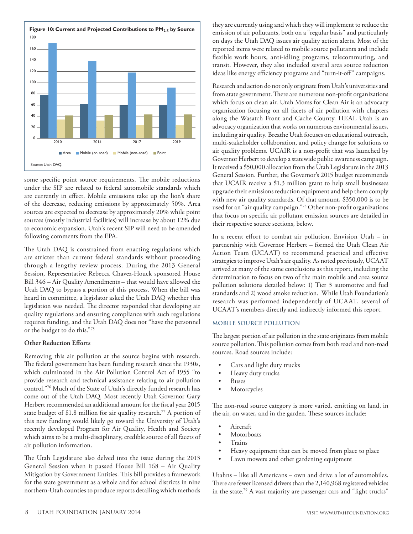

some specific point source requirements. The mobile reductions under the SIP are related to federal automobile standards which are currently in effect. Mobile emissions take up the lion's share of the decrease, reducing emissions by approximately 50%. Area sources are expected to decrease by approximately 20% while point sources (mostly industrial facilities) will increase by about 12% due to economic expansion. Utah's recent SIP will need to be amended following comments from the EPA.

The Utah DAQ is constrained from enacting regulations which are stricter than current federal standards without proceeding through a lengthy review process. During the 2013 General Session, Representative Rebecca Chavez-Houck sponsored House Bill 346 – Air Quality Amendments – that would have allowed the Utah DAQ to bypass a portion of this process. When the bill was heard in committee, a legislator asked the Utah DAQ whether this legislation was needed. The director responded that developing air quality regulations and ensuring compliance with such regulations requires funding, and the Utah DAQ does not "have the personnel or the budget to do this."75

#### **Other Reduction Efforts**

Removing this air pollution at the source begins with research. The federal government has been funding research since the 1930s, which culminated in the Air Pollution Control Act of 1955 "to provide research and technical assistance relating to air pollution control."76 Much of the State of Utah's directly funded research has come out of the Utah DAQ. Most recently Utah Governor Gary Herbert recommended an additional amount for the fiscal year 2015 state budget of \$1.8 million for air quality research.<sup>77</sup> A portion of this new funding would likely go toward the University of Utah's recently developed Program for Air Quality, Health and Society which aims to be a multi-disciplinary, credible source of all facets of air pollution information.

The Utah Legislature also delved into the issue during the 2013 General Session when it passed House Bill 168 – Air Quality Mitigation by Government Entities. This bill provides a framework for the state government as a whole and for school districts in nine northern-Utah counties to produce reports detailing which methods they are currently using and which they will implement to reduce the emission of air pollutants, both on a "regular basis" and particularly on days the Utah DAQ issues air quality action alerts. Most of the reported items were related to mobile source pollutants and include flexible work hours, anti-idling programs, telecommuting, and transit. However, they also included several area source reduction ideas like energy efficiency programs and "turn-it-off" campaigns.

Research and action do not only originate from Utah's universities and from state government. There are numerous non-profit organizations which focus on clean air. Utah Moms for Clean Air is an advocacy organization focusing on all facets of air pollution with chapters along the Wasatch Front and Cache County. HEAL Utah is an advocacy organization that works on numerous environmental issues, including air quality. Breathe Utah focuses on educational outreach, multi-stakeholder collaboration, and policy change for solutions to air quality problems. UCAIR is a non-profit that was launched by Governor Herbert to develop a statewide public awareness campaign. It received a \$50,000 allocation from the Utah Legislature in the 2013 General Session. Further, the Governor's 2015 budget recommends that UCAIR receive a \$1.3 million grant to help small businesses upgrade their emissions reduction equipment and help them comply with new air quality standards. Of that amount, \$350,000 is to be used for an "air quality campaign."78 Other non-profit organizations that focus on specific air pollutant emission sources are detailed in their respective source sections, below.

In a recent effort to combat air pollution, Envision Utah – in partnership with Governor Herbert – formed the Utah Clean Air Action Team (UCAAT) to recommend practical and effective strategies to improve Utah's air quality. As noted previously, UCAAT arrived at many of the same conclusions as this report, including the determination to focus on two of the main mobile and area source pollution solutions detailed below: 1) Tier 3 automotive and fuel standards and 2) wood smoke reduction. While Utah Foundation's research was performed independently of UCAAT, several of UCAAT's members directly and indirectly informed this report.

#### **MOBILE SOURCE POLLUTION**

The largest portion of air pollution in the state originates from mobile source pollution. This pollution comes from both road and non-road sources. Road sources include:

- Cars and light duty trucks
- Heavy duty trucks
- **Buses**
- • Motorcycles

The non-road source category is more varied, emitting on land, in the air, on water, and in the garden. These sources include:

- **Aircraft**
- **Motorboats**
- **Trains**
- Heavy equipment that can be moved from place to place
- Lawn mowers and other gardening equipment

Utahns – like all Americans – own and drive a lot of automobiles. There are fewer licensed drivers than the 2,140,968 registered vehicles in the state.79 A vast majority are passenger cars and "light trucks"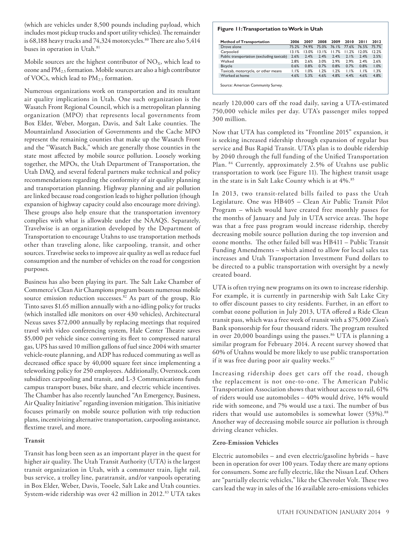(which are vehicles under 8,500 pounds including payload, which includes most pickup trucks and sport utility vehicles). The remainder is 68,188 heavy trucks and 74,324 motorcycles.<sup>80</sup> There are also 5,414 buses in operation in Utah.<sup>81</sup>

Mobile sources are the highest contributor of  $NO<sub>x</sub>$ , which lead to ozone and PM2.5 formation. Mobile sources are also a high contributor of VOCs, which lead to  $PM_{2.5}$  formation.

Numerous organizations work on transportation and its resultant air quality implications in Utah. One such organization is the Wasatch Front Regional Council, which is a metropolitan planning organization (MPO) that represents local governments from Box Elder, Weber, Morgan, Davis, and Salt Lake counties. The Mountainland Association of Governments and the Cache MPO represent the remaining counties that make up the Wasatch Front and the "Wasatch Back," which are generally those counties in the state most affected by mobile source pollution. Loosely working together, the MPOs, the Utah Department of Transportation, the Utah DAQ, and several federal partners make technical and policy recommendations regarding the conformity of air quality planning and transportation planning. Highway planning and air pollution are linked because road congestion leads to higher pollution (though expansion of highway capacity could also encourage more driving). These groups also help ensure that the transportation inventory complies with what is allowable under the NAAQS. Separately, Travelwise is an organization developed by the Department of Transportation to encourage Utahns to use transportation methods other than traveling alone, like carpooling, transit, and other sources. Travelwise seeks to improve air quality as well as reduce fuel consumption and the number of vehicles on the road for congestion purposes.

Business has also been playing its part. The Salt Lake Chamber of Commerce's Clean Air Champions program boasts numerous mobile source emission reduction successes.<sup>82</sup> As part of the group, Rio Tinto saves \$1.65 million annually with a no-idling policy for trucks (which installed idle monitors on over 430 vehicles), Architectural Nexus saves \$72,000 annually by replacing meetings that required travel with video conferencing system, Hale Center Theatre saves \$5,000 per vehicle since converting its fleet to compressed natural gas, UPS has saved 10 million gallons of fuel since 2004 with smarter vehicle-route planning, and ADP has reduced commuting as well as decreased office space by 40,000 square feet since implementing a teleworking policy for 250 employees. Additionally, Overstock.com subsidizes carpooling and transit, and L-3 Communications funds campus transport buses, bike share, and electric vehicle incentives. The Chamber has also recently launched "An Emergency, Business, Air Quality Initiative" regarding inversion mitigation. This initiative focuses primarily on mobile source pollution with trip reduction plans, incentivizing alternative transportation, carpooling assistance, flextime travel, and more.

#### **Transit**

Transit has long been seen as an important player in the quest for higher air quality. The Utah Transit Authority (UTA) is the largest transit organization in Utah, with a commuter train, light rail, bus service, a trolley line, paratransit, and/or vanpools operating in Box Elder, Weber, Davis, Tooele, Salt Lake and Utah counties. System-wide ridership was over 42 million in 2012.<sup>83</sup> UTA takes

#### **Figure 11: Transportation to Work in Utah**

| <b>Method of Transportation</b>           | 2006  | 2007  | 2008  | 2009  | 2010  | 20 I I | 2012  |
|-------------------------------------------|-------|-------|-------|-------|-------|--------|-------|
| Drove alone                               | 75.2% | 74.9% | 75.0% | 76.1% | 77.6% | 76.5%  | 75.7% |
| Carpooled                                 | 13.1% | 13.0% | 13.1% | 11.7% | 11.2% | 12.0%  | 12.2% |
| Public transportation (excluding taxicab) | 2.6%  | 2.4%  | 2.4%  | 2.4%  | 2.1%  | 2.4%   | 2.5%  |
| Walked                                    | 2.8%  | 2.6%  | 3.0%  | 2.9%  | 2.9%  | 2.4%   | 2.6%  |
| <b>Bicycle</b>                            | 0.6%  | 0.8%  | 0.7%  | 0.8%  | 0.7%  | 0.8%   | 1.0%  |
| Taxicab, motorcycle, or other means       | 1.1%  | 1.0%  | 1.2%  | 1.2%  | 1.1%  | 1.1%   | 1.3%  |
| Worked at home                            | 4.6%  | 5.3%  | 4.6%  | 4.8%  | 4.4%  | 4.6%   | 4.8%  |
| Source: American Community Survey.        |       |       |       |       |       |        |       |

nearly 120,000 cars off the road daily, saving a UTA-estimated 750,000 vehicle miles per day. UTA's passenger miles topped 300 million.

Now that UTA has completed its "Frontline 2015" expansion, it is seeking increased ridership through expansion of regular bus service and Bus Rapid Transit. UTA's plan is to double ridership by 2040 through the full funding of the Unified Transportation Plan. 84 Currently, approximately 2.5% of Utahns use public transportation to work (see Figure 11). The highest transit usage in the state is in Salt Lake County which is at 4%.<sup>85</sup>

In 2013, two transit-related bills failed to pass the Utah Legislature. One was HB405 – Clean Air Public Transit Pilot Program – which would have created free monthly passes for the months of January and July in UTA service areas. The hope was that a free pass program would increase ridership, thereby decreasing mobile source pollution during the top inversion and ozone months. The other failed bill was HB411 – Public Transit Funding Amendments – which aimed to allow for local sales tax increases and Utah Transportation Investment Fund dollars to be directed to a public transportation with oversight by a newly created board.

UTA is often trying new programs on its own to increase ridership. For example, it is currently in partnership with Salt Lake City to offer discount passes to city residents. Further, in an effort to combat ozone pollution in July 2013, UTA offered a Ride Clean transit pass, which was a free week of transit with a \$75,000 Zion's Bank sponsorship for four thousand riders. The program resulted in over 20,000 boardings using the passes.<sup>86</sup> UTA is planning a similar program for February 2014. A recent survey showed that 60% of Utahns would be more likely to use public transportation if it was free during poor air quality weeks.<sup>87</sup>

Increasing ridership does get cars off the road, though the replacement is not one-to-one. The American Public Transportation Association shows that without access to rail, 61% of riders would use automobiles – 40% would drive, 14% would ride with someone, and 7% would use a taxi. The number of bus riders that would use automobiles is somewhat lower (53%).<sup>88</sup> Another way of decreasing mobile source air pollution is through driving cleaner vehicles.

#### **Zero-Emission Vehicles**

Electric automobiles – and even electric/gasoline hybrids – have been in operation for over 100 years. Today there are many options for consumers. Some are fully electric, like the Nissan Leaf. Others are "partially electric vehicles," like the Chevrolet Volt. These two cars lead the way in sales of the 16 available zero-emissions vehicles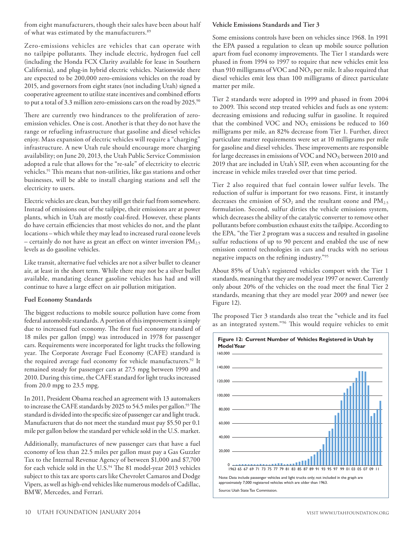from eight manufacturers, though their sales have been about half of what was estimated by the manufacturers.<sup>89</sup>

Zero-emissions vehicles are vehicles that can operate with no tailpipe pollutants. They include electric, hydrogen fuel cell (including the Honda FCX Clarity available for lease in Southern California), and plug-in hybrid electric vehicles. Nationwide there are expected to be 200,000 zero-emissions vehicles on the road by 2015, and governors from eight states (not including Utah) signed a cooperative agreement to utilize state incentives and combined efforts to put a total of 3.3 million zero-emissions cars on the road by 2025.<sup>90</sup>

There are currently two hindrances to the proliferation of zeroemission vehicles. One is cost. Another is that they do not have the range or refueling infrastructure that gasoline and diesel vehicles enjoy. Mass expansion of electric vehicles will require a "charging" infrastructure. A new Utah rule should encourage more charging availability; on June 20, 2013, the Utah Public Service Commission adopted a rule that allows for the "re-sale" of electricity to electric vehicles.<sup>91</sup> This means that non-utilities, like gas stations and other businesses, will be able to install charging stations and sell the electricity to users.

Electric vehicles are clean, but they still get their fuel from somewhere. Instead of emissions out of the tailpipe, their emissions are at power plants, which in Utah are mostly coal-fired. However, these plants do have certain efficiencies that most vehicles do not, and the plant locations – which while they may lead to increased rural ozone levels – certainly do not have as great an effect on winter inversion  $PM_{2.5}$ levels as do gasoline vehicles.

Like transit, alternative fuel vehicles are not a silver bullet to cleaner air, at least in the short term. While there may not be a silver bullet available, mandating cleaner gasoline vehicles has had and will continue to have a large effect on air pollution mitigation.

#### **Fuel Economy Standards**

The biggest reductions to mobile source pollution have come from federal automobile standards. A portion of this improvement is simply due to increased fuel economy. The first fuel economy standard of 18 miles per gallon (mpg) was introduced in 1978 for passenger cars. Requirements were incorporated for light trucks the following year. The Corporate Average Fuel Economy (CAFE) standard is the required average fuel economy for vehicle manufacturers.<sup>92</sup> It remained steady for passenger cars at 27.5 mpg between 1990 and 2010. During this time, the CAFE standard for light trucks increased from 20.0 mpg to 23.5 mpg.

In 2011, President Obama reached an agreement with 13 automakers to increase the CAFE standards by 2025 to 54.5 miles per gallon.<sup>93</sup> The standard is divided into the specific size of passenger car and light truck. Manufacturers that do not meet the standard must pay \$5.50 per 0.1 mile per gallon below the standard per vehicle sold in the U.S. market.

Additionally, manufactures of new passenger cars that have a fuel economy of less than 22.5 miles per gallon must pay a Gas Guzzler Tax to the Internal Revenue Agency of between \$1,000 and \$7,700 for each vehicle sold in the U.S.<sup>94</sup> The 81 model-year 2013 vehicles subject to this tax are sports cars like Chevrolet Camaros and Dodge Vipers, as well as high-end vehicles like numerous models of Cadillac, BMW, Mercedes, and Ferrari.

#### **Vehicle Emissions Standards and Tier 3**

Some emissions controls have been on vehicles since 1968. In 1991 the EPA passed a regulation to clean up mobile source pollution apart from fuel economy improvements. The Tier 1 standards were phased in from 1994 to 1997 to require that new vehicles emit less than 910 milligrams of VOC and  $NO<sub>X</sub>$  per mile. It also required that diesel vehicles emit less than 100 milligrams of direct particulate matter per mile.

Tier 2 standards were adopted in 1999 and phased in from 2004 to 2009. This second step treated vehicles and fuels as one system: decreasing emissions and reducing sulfur in gasoline. It required that the combined VOC and  $NO<sub>X</sub>$  emissions be reduced to 160 milligrams per mile, an 82% decrease from Tier 1. Further, direct particulate matter requirements were set at 10 milligrams per mile for gasoline and diesel vehicles. These improvements are responsible for large decreases in emissions of VOC and  $NO<sub>X</sub>$  between 2010 and 2019 that are included in Utah's SIP, even when accounting for the increase in vehicle miles traveled over that time period.

Tier 2 also required that fuel contain lower sulfur levels. The reduction of sulfur is important for two reasons. First, it instantly decreases the emission of  $SO_2$  and the resultant ozone and  $PM_{2.5}$ formulation. Second, sulfur dirties the vehicle emissions system, which decreases the ability of the catalytic converter to remove other pollutants before combustion exhaust exits the tailpipe. According to the EPA, "the Tier 2 program was a success and resulted in gasoline sulfur reductions of up to 90 percent and enabled the use of new emission control technologies in cars and trucks with no serious negative impacts on the refining industry."95

About 85% of Utah's registered vehicles comport with the Tier 1 standards, meaning that they are model year 1997 or newer. Currently only about 20% of the vehicles on the road meet the final Tier 2 standards, meaning that they are model year 2009 and newer (see Figure 12).

The proposed Tier 3 standards also treat the "vehicle and its fuel as an integrated system."96 This would require vehicles to emit

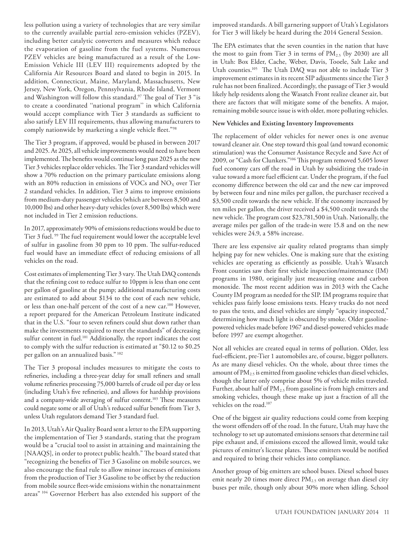less pollution using a variety of technologies that are very similar to the currently available partial zero-emission vehicles (PZEV), including better catalytic converters and measures which reduce the evaporation of gasoline from the fuel systems. Numerous PZEV vehicles are being manufactured as a result of the Low-Emission Vehicle III (LEV III) requirements adopted by the California Air Resources Board and slated to begin in 2015. In addition, Connecticut, Maine, Maryland, Massachusetts, New Jersey, New York, Oregon, Pennsylvania, Rhode Island, Vermont and Washington will follow this standard.<sup>97</sup> The goal of Tier 3 "is to create a coordinated ''national program'' in which California would accept compliance with Tier 3 standards as sufficient to also satisfy LEV III requirements, thus allowing manufacturers to comply nationwide by marketing a single vehicle fleet."98

The Tier 3 program, if approved, would be phased in between 2017 and 2025. At 2025, all vehicle improvements would need to have been implemented. The benefits would continue long past 2025 as the new Tier 3 vehicles replace older vehicles. The Tier 3 standard vehicles will show a 70% reduction on the primary particulate emissions along with an 80% reduction in emissions of VOCs and  $NO<sub>X</sub>$  over Tier 2 standard vehicles. In addition, Tier 3 aims to improve emissions from medium-duty passenger vehicles (which are between 8,500 and 10,000 lbs) and other heavy-duty vehicles (over 8,500 lbs) which were not included in Tier 2 emission reductions.

In 2017, approximately 90% of emissions reductions would be due to Tier 3 fuel. 99 The fuel requirement would lower the acceptable level of sulfur in gasoline from 30 ppm to 10 ppm. The sulfur-reduced fuel would have an immediate effect of reducing emissions of all vehicles on the road.

Cost estimates of implementing Tier 3 vary. The Utah DAQ contends that the refining cost to reduce sulfur to 10ppm is less than one cent per gallon of gasoline at the pump; additional manufacturing costs are estimated to add about \$134 to the cost of each new vehicle, or less than one-half percent of the cost of a new car.100 However, a report prepared for the American Petroleum Institute indicated that in the U.S. "four to seven refiners could shut down rather than make the investments required to meet the standards" of decreasing sulfur content in fuel.<sup>101</sup> Additionally, the report indicates the cost to comply with the sulfur reduction is estimated at "\$0.12 to \$0.25 per gallon on an annualized basis." 102

The Tier 3 proposal includes measures to mitigate the costs to refineries, including a three-year delay for small refiners and small volume refineries processing 75,000 barrels of crude oil per day or less (including Utah's five refineries), and allows for hardship provisions and a company-wide averaging of sulfur content.<sup>103</sup> These measures could negate some or all of Utah's reduced sulfur benefit from Tier 3, unless Utah regulators demand Tier 3 standard fuel.

In 2013, Utah's Air Quality Board sent a letter to the EPA supporting the implementation of Tier 3 standards, stating that the program would be a "crucial tool to assist in attaining and maintaining the [NAAQS], in order to protect public health." The board stated that "recognizing the benefits of Tier 3 Gasoline on mobile sources, we also encourage the final rule to allow minor increases of emissions from the production of Tier 3 Gasoline to be offset by the reduction from mobile source fleet-wide emissions within the nonattainment areas" 104 Governor Herbert has also extended his support of the improved standards. A bill garnering support of Utah's Legislators for Tier 3 will likely be heard during the 2014 General Session.

The EPA estimates that the seven counties in the nation that have the most to gain from Tier 3 in terms of  $PM_{2.5}$  (by 2030) are all in Utah: Box Elder, Cache, Weber, Davis, Tooele, Salt Lake and Utah counties.<sup>105</sup> The Utah DAQ was not able to include Tier 3 improvement estimates in its recent SIP adjustments since the Tier 3 rule has not been finalized. Accordingly, the passage of Tier 3 would likely help residents along the Wasatch Front realize cleaner air, but there are factors that will mitigate some of the benefits. A major, remaining mobile source issue is with older, more polluting vehicles.

#### **New Vehicles and Existing Inventory Improvements**

The replacement of older vehicles for newer ones is one avenue toward cleaner air. One step toward this goal (and toward economic stimulation) was the Consumer Assistance Recycle and Save Act of 2009, or "Cash for Clunkers."106 This program removed 5,605 lower fuel economy cars off the road in Utah by subsidizing the trade-in value toward a more fuel efficient car. Under the program, if the fuel economy difference between the old car and the new car improved by between four and nine miles per gallon, the purchaser received a \$3,500 credit towards the new vehicle. If the economy increased by ten miles per gallon, the driver received a \$4,500 credit towards the new vehicle. The program cost \$23,781,500 in Utah. Nationally, the average miles per gallon of the trade-in were 15.8 and on the new vehicles were 24.9, a 58% increase.

There are less expensive air quality related programs than simply helping pay for new vehicles. One is making sure that the existing vehicles are operating as efficiently as possible. Utah's Wasatch Front counties saw their first vehicle inspection/maintenance (IM) programs in 1980, originally just measuring ozone and carbon monoxide. The most recent addition was in 2013 with the Cache County IM program as needed for the SIP. IM programs require that vehicles pass fairly loose emissions tests. Heavy trucks do not need to pass the tests, and diesel vehicles are simply "opacity inspected," determining how much light is obscured by smoke. Older gasolinepowered vehicles made before 1967 and diesel-powered vehicles made before 1997 are exempt altogether.

Not all vehicles are created equal in terms of pollution. Older, less fuel-efficient, pre-Tier 1 automobiles are, of course, bigger polluters. As are many diesel vehicles. On the whole, about three times the amount of PM<sub>2.5</sub> is emitted from gasoline vehicles than diesel vehicles, though the latter only comprise about 5% of vehicle miles traveled. Further, about half of  $PM_{2.5}$  from gasoline is from high emitters and smoking vehicles, though these make up just a fraction of all the vehicles on the road.<sup>107</sup>

One of the biggest air quality reductions could come from keeping the worst offenders off of the road. In the future, Utah may have the technology to set up automated emissions sensors that determine tail pipe exhaust and, if emissions exceed the allowed limit, would take pictures of emitter's license plates. These emitters would be notified and required to bring their vehicles into compliance.

Another group of big emitters are school buses. Diesel school buses emit nearly 20 times more direct  $PM<sub>2.5</sub>$  on average than diesel city buses per mile, though only about 30% more when idling. School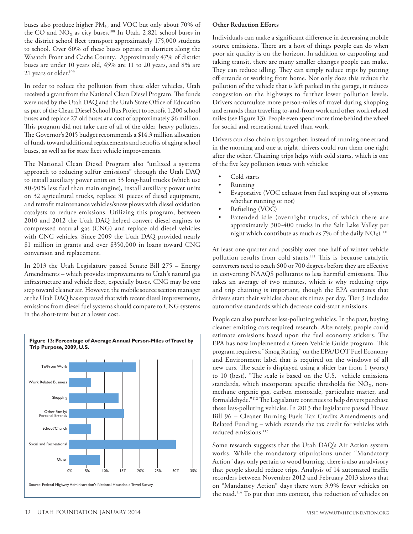buses also produce higher PM<sub>10</sub> and VOC but only about 70% of the CO and  $NO<sub>X</sub>$  as city buses.<sup>108</sup> In Utah, 2,821 school buses in the district school fleet transport approximately 175,000 students to school. Over 60% of these buses operate in districts along the Wasatch Front and Cache County. Approximately 47% of district buses are under 10 years old, 45% are 11 to 20 years, and 8% are 21 years or older.<sup>109</sup>

In order to reduce the pollution from these older vehicles, Utah received a grant from the National Clean Diesel Program. The funds were used by the Utah DAQ and the Utah State Office of Education as part of the Clean Diesel School Bus Project to retrofit 1,200 school buses and replace 27 old buses at a cost of approximately \$6 million. This program did not take care of all of the older, heavy polluters. The Governor's 2015 budget recommends a \$14.3 million allocation of funds toward additional replacements and retrofits of aging school buses, as well as for state fleet vehicle improvements.

The National Clean Diesel Program also "utilized a systems approach to reducing sulfur emissions" through the Utah DAQ to install auxiliary power units on 53 long-haul trucks (which use 80-90% less fuel than main engine), install auxiliary power units on 32 agricultural trucks, replace 31 pieces of diesel equipment, and retrofit maintenance vehicles/snow plows with diesel oxidation catalysts to reduce emissions. Utilizing this program, between 2010 and 2012 the Utah DAQ helped convert diesel engines to compressed natural gas (CNG) and replace old diesel vehicles with CNG vehicles. Since 2009 the Utah DAQ provided nearly \$1 million in grants and over \$350,000 in loans toward CNG conversion and replacement.

In 2013 the Utah Legislature passed Senate Bill 275 – Energy Amendments – which provides improvements to Utah's natural gas infrastructure and vehicle fleet, especially buses. CNG may be one step toward cleaner air. However, the mobile source section manager at the Utah DAQ has expressed that with recent diesel improvements, emissions from diesel fuel systems should compare to CNG systems in the short-term but at a lower cost.



## **Other Reduction Efforts**

Individuals can make a significant difference in decreasing mobile source emissions. There are a host of things people can do when poor air quality is on the horizon. In addition to carpooling and taking transit, there are many smaller changes people can make. They can reduce idling. They can simply reduce trips by putting off errands or working from home. Not only does this reduce the pollution of the vehicle that is left parked in the garage, it reduces congestion on the highways to further lower pollution levels. Drivers accumulate more person-miles of travel during shopping and errands than traveling to-and-from work and other work related miles (see Figure 13). People even spend more time behind the wheel for social and recreational travel than work.

Drivers can also chain trips together; instead of running one errand in the morning and one at night, drivers could run them one right after the other. Chaining trips helps with cold starts, which is one of the five key pollution issues with vehicles:

- Cold starts
- **Running**
- Evaporative (VOC exhaust from fuel seeping out of systems whether running or not)
- Refueling (VOC)
- Extended idle (overnight trucks, of which there are approximately 300-400 trucks in the Salt Lake Valley per night which contribute as much as 7% of the daily  $NO_X$ ). <sup>110</sup>

At least one quarter and possibly over one half of winter vehicle pollution results from cold starts.111 This is because catalytic converters need to reach 600 or 700 degrees before they are effective in converting NAAQS pollutants to less harmful emissions. This takes an average of two minutes, which is why reducing trips and trip chaining is important, though the EPA estimates that drivers start their vehicles about six times per day. Tier 3 includes automotive standards which decrease cold-start emissions.

People can also purchase less-polluting vehicles. In the past, buying cleaner emitting cars required research. Alternately, people could estimate emissions based upon the fuel economy stickers. The EPA has now implemented a Green Vehicle Guide program. This program requires a "Smog Rating" on the EPA/DOT Fuel Economy and Environment label that is required on the windows of all new cars. The scale is displayed using a slider bar from 1 (worst) to 10 (best). "The scale is based on the U.S. vehicle emissions standards, which incorporate specific thresholds for  $NO<sub>X</sub>$ , nonmethane organic gas, carbon monoxide, particulate matter, and formaldehyde."112 The Legislature continues to help drivers purchase these less-polluting vehicles. In 2013 the legislature passed House Bill 96 – Cleaner Burning Fuels Tax Credits Amendments and Related Funding – which extends the tax credit for vehicles with reduced emissions.<sup>113</sup>

Some research suggests that the Utah DAQ's Air Action system works. While the mandatory stipulations under "Mandatory Action" days only pertain to wood burning, there is also an advisory that people should reduce trips. Analysis of 14 automated traffic recorders between November 2012 and February 2013 shows that on "Mandatory Action" days there were 3.9% fewer vehicles on the road.114 To put that into context, this reduction of vehicles on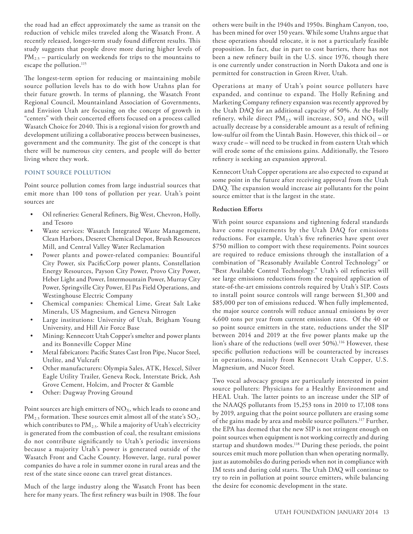the road had an effect approximately the same as transit on the reduction of vehicle miles traveled along the Wasatch Front. A recently released, longer-term study found different results. This study suggests that people drove more during higher levels of  $PM_{2.5}$  – particularly on weekends for trips to the mountains to escape the pollution.<sup>115</sup>

The longest-term option for reducing or maintaining mobile source pollution levels has to do with how Utahns plan for their future growth. In terms of planning, the Wasatch Front Regional Council, Mountainland Association of Governments, and Envision Utah are focusing on the concept of growth in "centers" with their concerted efforts focused on a process called Wasatch Choice for 2040. This is a regional vision for growth and development utilizing a collaborative process between businesses, government and the community. The gist of the concept is that there will be numerous city centers, and people will do better living where they work.

#### **POINT SOURCE POLLUTION**

Point source pollution comes from large industrial sources that emit more than 100 tons of pollution per year. Utah's point sources are

- • Oil refineries: General Refiners, Big West, Chevron, Holly, and Tesoro
- • Waste services: Wasatch Integrated Waste Management, Clean Harbors, Deseret Chemical Depot, Brush Resources Mill, and Central Valley Water Reclamation
- Power plants and power-related companies: Bountiful City Power, six PacificCorp power plants, Constellation Energy Resources, Payson City Power, Provo City Power, Heber Light and Power, Intermountain Power, Murray City Power, Springville City Power, El Pas Field Operations, and Westinghouse Electric Company
- • Chemical companies: Chemical Lime, Great Salt Lake Minerals, US Magnesium, and Geneva Nitrogen
- Large institutions: University of Utah, Brigham Young University, and Hill Air Force Base
- Mining: Kennecott Utah Copper's smelter and power plants and its Bonneville Copper Mine
- Metal fabricators: Pacific States Cast Iron Pipe, Nucor Steel, Utelite, and Vulcraft
- Other manufacturers: Olympia Sales, ATK, Hexcel, Silver Eagle Utility Trailer, Geneva Rock, Interstate Brick, Ash Grove Cement, Holcim, and Procter & Gamble
- • Other: Dugway Proving Ground

Point sources are high emitters of  $NO<sub>x</sub>$ , which leads to ozone and  $PM_{2.5}$  formation. These sources emit almost all of the state's  $SO_2$ , which contributes to  $PM_{2.5}$ . While a majority of Utah's electricity is generated from the combustion of coal, the resultant emissions do not contribute significantly to Utah's periodic inversions because a majority Utah's power is generated outside of the Wasatch Front and Cache County. However, large, rural power companies do have a role in summer ozone in rural areas and the rest of the state since ozone can travel great distances.

Much of the large industry along the Wasatch Front has been here for many years. The first refinery was built in 1908. The four

others were built in the 1940s and 1950s. Bingham Canyon, too, has been mined for over 150 years. While some Utahns argue that these operations should relocate, it is not a particularly feasible proposition. In fact, due in part to cost barriers, there has not been a new refinery built in the U.S. since 1976, though there is one currently under construction in North Dakota and one is permitted for construction in Green River, Utah.

Operations at many of Utah's point source polluters have expanded, and continue to expand. The Holly Refining and Marketing Company refinery expansion was recently approved by the Utah DAQ for an additional capacity of 50%. At the Holly refinery, while direct  $PM_{2.5}$  will increase,  $SO_2$  and  $NO_X$  will actually decrease by a considerable amount as a result of refining low-sulfur oil from the Uintah Basin. However, this thick oil – or waxy crude – will need to be trucked in from eastern Utah which will erode some of the emissions gains. Additionally, the Tesoro refinery is seeking an expansion approval.

Kennecott Utah Copper operations are also expected to expand at some point in the future after receiving approval from the Utah DAQ. The expansion would increase air pollutants for the point source emitter that is the largest in the state.

#### **Reduction Efforts**

With point source expansions and tightening federal standards have come requirements by the Utah DAQ for emissions reductions. For example, Utah's five refineries have spent over \$750 million to comport with these requirements. Point sources are required to reduce emissions through the installation of a combination of "Reasonably Available Control Technology" or "Best Available Control Technology." Utah's oil refineries will see large emissions reductions from the required application of state-of-the-art emissions controls required by Utah's SIP. Costs to install point source controls will range between \$1,300 and \$85,000 per ton of emissions reduced. When fully implemented, the major source controls will reduce annual emissions by over 4,600 tons per year from current emission rates. Of the 40 or so point source emitters in the state, reductions under the SIP between 2014 and 2019 at the five power plants make up the lion's share of the reductions (well over 50%).<sup>116</sup> However, these specific pollution reductions will be counteracted by increases in operations, mainly from Kennecott Utah Copper, U.S. Magnesium, and Nucor Steel.

Two vocal advocacy groups are particularly interested in point source polluters: Physicians for a Healthy Environment and HEAL Utah. The latter points to an increase under the SIP of the NAAQS pollutants from 15,253 tons in 2010 to 17,108 tons by 2019, arguing that the point source polluters are erasing some of the gains made by area and mobile source polluters.117 Further, the EPA has deemed that the new SIP is not stringent enough on point sources when equipment is not working correctly and during startup and shutdown modes.<sup>118</sup> During these periods, the point sources emit much more pollution than when operating normally, just as automobiles do during periods when not in compliance with IM tests and during cold starts. The Utah DAQ will continue to try to rein in pollution at point source emitters, while balancing the desire for economic development in the state.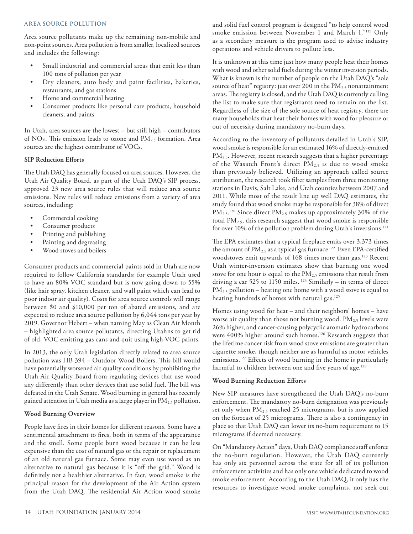#### **AREA SOURCE POLLUTION**

Area source pollutants make up the remaining non-mobile and non-point sources. Area pollution is from smaller, localized sources and includes the following:

- Small industrial and commercial areas that emit less than 100 tons of pollution per year
- • Dry cleaners, auto body and paint facilities, bakeries, restaurants, and gas stations
- Home and commercial heating
- Consumer products like personal care products, household cleaners, and paints

In Utah, area sources are the lowest – but still high – contributors of  $NO<sub>X</sub>$ . This emission leads to ozone and  $PM<sub>2.5</sub>$  formation. Area sources are the highest contributor of VOCs.

#### **SIP Reduction Efforts**

The Utah DAQ has generally focused on area sources. However, the Utah Air Quality Board, as part of the Utah DAQ's SIP process, approved 23 new area source rules that will reduce area source emissions. New rules will reduce emissions from a variety of area sources, including:

- • Commercial cooking
- • Consumer products
- Printing and publishing
- Painting and degreasing
- Wood stoves and boilers

Consumer products and commercial paints sold in Utah are now required to follow California standards; for example Utah used to have an 80% VOC standard but is now going down to 55% (like hair spray, kitchen cleaner, and wall paint which can lead to poor indoor air quality). Costs for area source controls will range between \$0 and \$10,000 per ton of abated emissions, and are expected to reduce area source pollution by 6,044 tons per year by 2019. Governor Hebert – when naming May as Clean Air Month – highlighted area source pollutants, directing Utahns to get rid of old, VOC emitting gas cans and quit using high-VOC paints.

In 2013, the only Utah legislation directly related to area source pollution was HB 394 – Outdoor Wood Boilers. This bill would have potentially worsened air quality conditions by prohibiting the Utah Air Quality Board from regulating devices that use wood any differently than other devices that use solid fuel. The bill was defeated in the Utah Senate. Wood burning in general has recently gained attention in Utah media as a large player in PM<sub>2.5</sub> pollution.

#### **Wood Burning Overview**

People have fires in their homes for different reasons. Some have a sentimental attachment to fires, both in terms of the appearance and the smell. Some people burn wood because it can be less expensive than the cost of natural gas or the repair or replacement of an old natural gas furnace. Some may even use wood as an alternative to natural gas because it is "off the grid." Wood is definitely not a healthier alternative. In fact, wood smoke is the principal reason for the development of the Air Action system from the Utah DAQ. The residential Air Action wood smoke

and solid fuel control program is designed "to help control wood smoke emission between November 1 and March 1."119 Only as a secondary measure is the program used to advise industry operations and vehicle drivers to pollute less.

It is unknown at this time just how many people heat their homes with wood and other solid fuels during the winter inversion periods. What is known is the number of people on the Utah DAQ's "sole source of heat" registry: just over 200 in the  $PM_{2.5}$  nonattainment areas. The registry is closed, and the Utah DAQ is currently culling the list to make sure that registrants need to remain on the list. Regardless of the size of the sole source of heat registry, there are many households that heat their homes with wood for pleasure or out of necessity during mandatory no-burn days.

According to the inventory of pollutants detailed in Utah's SIP, wood smoke is responsible for an estimated 16% of directly-emitted PM<sub>2.5</sub>. However, recent research suggests that a higher percentage of the Wasatch Front's direct  $PM_{2.5}$  is due to wood smoke than previously believed. Utilizing an approach called source attribution, the research took filter samples from three monitoring stations in Davis, Salt Lake, and Utah counties between 2007 and 2011. While most of the result line up well DAQ estimates, the study found that wood smoke may be responsible for 38% of direct  $\rm PM_{2.5}.$ <sup>120</sup> Since direct  $\rm PM_{2.5}$  makes up approximately 30% of the total  $PM_{2.5}$ , this research suggest that wood smoke is responsible for over 10% of the pollution problem during Utah's inversions.<sup>121</sup>

The EPA estimates that a typical fireplace emits over 3,373 times the amount of PM<sub>2.5</sub> as a typical gas furnace<sup>122</sup> Even EPA-certified woodstoves emit upwards of 168 times more than gas.<sup>123</sup> Recent Utah winter-inversion estimates show that burning one wood stove for one hour is equal to the  $\text{PM}_{2.5}$  emissions that result from driving a car 525 to 1150 miles. 124 Similarly – in terms of direct  $PM_{2.5}$  pollution – heating one home with a wood stove is equal to heating hundreds of homes with natural gas.<sup>125</sup>

Homes using wood for heat – and their neighbors' homes – have worse air quality than those not burning wood.  $PM_{2.5}$  levels were 26% higher, and cancer-causing polycyclic aromatic hydrocarbons were 400% higher around such homes.<sup>126</sup> Research suggests that the lifetime cancer risk from wood stove emissions are greater than cigarette smoke, though neither are as harmful as motor vehicles emissions.127 Effects of wood burning in the home is particularly harmful to children between one and five years of age.<sup>128</sup>

#### **Wood Burning Reduction Efforts**

New SIP measures have strengthened the Utah DAQ's no-burn enforcement. The mandatory no-burn designation was previously set only when  $PM_{2.5}$  reached 25 micrograms, but is now applied on the forecast of 25 micrograms. There is also a contingency in place so that Utah DAQ can lower its no-burn requirement to 15 micrograms if deemed necessary.

On "Mandatory Action" days, Utah DAQ compliance staff enforce the no-burn regulation. However, the Utah DAQ currently has only six personnel across the state for all of its pollution enforcement activities and has only one vehicle dedicated to wood smoke enforcement. According to the Utah DAQ, it only has the resources to investigate wood smoke complaints, not seek out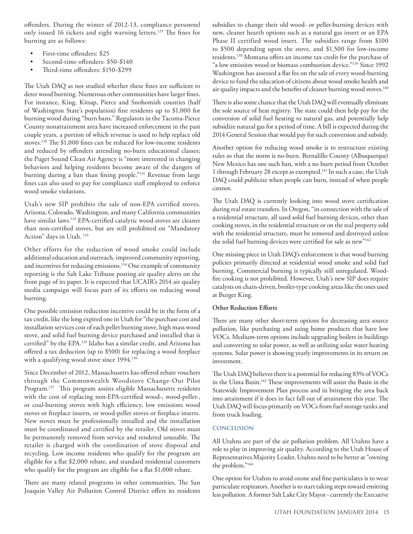offenders. During the winter of 2012-13, compliance personnel only issued 16 tickets and eight warning letters.<sup>129</sup> The fines for burning are as follows:

- First-time offenders: \$25
- Second-time offenders: \$50-\$140
- Third-time offenders: \$150-\$299

The Utah DAQ as not studied whether these fines are sufficient to deter wood burning. Numerous other communities have larger fines. For instance, King, Kitsap, Pierce and Snohomish counties (half of Washington State's population) fine residents up to \$1,000 for burning wood during "burn bans." Regulators in the Tacoma-Pierce County nonattainment area have increased enforcement in the past couple years, a portion of which revenue is used to help replace old stoves.130 The \$1,000 fines can be reduced for low-income residents and reduced by offenders attending no-burn educational classes; the Puget Sound Clean Air Agency is "more interested in changing behaviors and helping residents become aware of the dangers of burning during a ban than fining people."131 Revenue from large fines can also used to pay for compliance staff employed to enforce wood smoke violations.

Utah's new SIP prohibits the sale of non-EPA certified stoves. Arizona, Colorado, Washington, and many California communities have similar laws.132 EPA-certified catalytic wood stoves are cleaner than non-certified stoves, but are still prohibited on "Mandatory Action" days in Utah. 133

Other efforts for the reduction of wood smoke could include additional education and outreach, improved community reporting, and incentives for reducing emissions.134 One example of community reporting is the Salt Lake Tribune posting air quality alerts on the front page of its paper. It is expected that UCAIR's 2014 air quality media campaign will focus part of its efforts on reducing wood burning.

One possible emission reduction incentive could be in the form of a tax credit, like the long expired one in Utah for "the purchase cost and installation services cost of each pellet burning stove, high mass wood stove, and solid fuel burning device purchased and installed that is certified" by the EPA.135 Idaho has a similar credit, and Arizona has offered a tax deduction (up to \$500) for replacing a wood fireplace with a qualifying wood stove since 1994.<sup>136</sup>

Since December of 2012, Massachusetts has offered rebate vouchers through the Commonwealth Woodstove Change-Out Pilot Program.137 This program assists eligible Massachusetts residents with the cost of replacing non-EPA-certified wood-, wood-pellet-, or coal-burning stoves with high efficiency, low emissions wood stoves or fireplace inserts, or wood-pellet stoves or fireplace inserts. New stoves must be professionally installed and the installation must be coordinated and certified by the retailer. Old stoves must be permanently removed from service and rendered unusable. The retailer is charged with the coordination of stove disposal and recycling. Low income residents who qualify for the program are eligible for a flat \$2,000 rebate, and standard residential customers who qualify for the program are eligible for a flat \$1,000 rebate.

There are many related programs in other communities. The San Joaquin Valley Air Pollution Control District offers its residents subsidies to change their old wood- or pellet-burning devices with new, cleaner hearth options such as a natural gas insert or an EPA Phase II certified wood insert. The subsidies range from \$100 to \$500 depending upon the stove, and \$1,500 for low-income residents.138 Montana offers an income tax credit for the purchase of "a low emission wood or biomass combustion device."139 Since 1992 Washington has assessed a flat fee on the sale of every wood-burning device to fund the education of citizens about wood smoke health and air quality impacts and the benefits of cleaner burning wood stoves.<sup>140</sup>

There is also some chance that the Utah DAQ will eventually eliminate the sole source of heat registry. The state could then help pay for the conversion of solid fuel heating to natural gas, and potentially help subsidize natural gas for a period of time. A bill is expected during the 2014 General Session that would pay for such conversion and subsidy.

Another option for reducing wood smoke is to restructure existing rules so that the norm is no-burn. Bernalillo County (Albuquerque) New Mexico has one such ban, with a no burn period from October 1 through February 28 except as exempted.<sup>141</sup> In such a case, the Utah DAQ could publicize when people can burn, instead of when people cannot.

The Utah DAQ is currently looking into wood stove certification during real estate transfers. In Oregon, "in connection with the sale of a residential structure, all used solid fuel burning devices, other than cooking stoves, in the residential structure or on the real property sold with the residential structure, must be removed and destroyed unless the solid fuel burning devices were certified for sale as new"<sup>142</sup>

One missing piece in Utah DAQ's enforcement is that wood burning policies primarily directed at residential wood smoke and solid fuel burning. Commercial burning is typically still unregulated. Woodfire cooking is not prohibited. However, Utah's new SIP does require catalysts on chain-driven, broiler-type cooking areas like the ones used at Burger King.

#### **Other Reduction Efforts**

There are many other short-term options for decreasing area source pollution, like purchasing and using home products that have low VOCs. Medium-term options include upgrading boilers in buildings and converting to solar power, as well as utilizing solar water heating systems. Solar power is showing yearly improvements in its return on investment.

The Utah DAQ believes there is a potential for reducing 83% of VOCs in the Uinta Basin.<sup>143</sup> These improvements will assist the Basin in the Statewide Improvement Plan process and in bringing the area back into attainment if it does in fact fall out of attainment this year. The Utah DAQ will focus primarily on VOCs from fuel storage tanks and from truck loading.

#### **CONCLUSION**

All Utahns are part of the air pollution problem. All Utahns have a role to play in improving air quality. According to the Utah House of Representatives Majority Leader, Utahns need to be better at "owning the problem."144

One option for Utahns to avoid ozone and fine particulates is to wear particulate respirators. Another is to start taking steps toward emitting less pollution. A former Salt Lake City Mayor - currently the Executive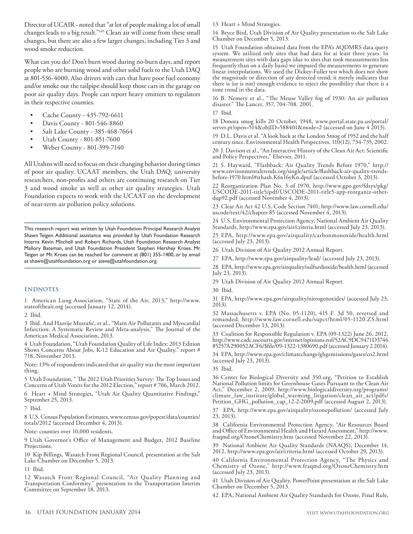Director of UCAIR - noted that "at lot of people making a lot of small changes leads to a big result."145 Clean air will come from these small changes, but there are also a few larger changes, including Tier 3 and wood smoke reduction.

What can you do? Don't burn wood during no-burn days, and report people who are burning wood and other solid fuels to the Utah DAQ at 801-536-4000. Also drivers with cars that have poor fuel economy and/or smoke out the tailpipe should keep those cars in the garage on poor air quality days. People can report heavy emitters to regulators in their respective counties.

- Cache County 435-792-6611
- Davis County 801-546-8860
- Salt Lake County 385-468-7664
- Utah County 801-851-7600
- Weber County 801-399-7140

All Utahns will need to focus on their changing behavior during times of poor air quality. UCAAT members, the Utah DAQ, university researchers, non-profits and others are continuing research on Tier 3 and wood smoke as well as other air quality strategies. Utah Foundation expects to work with the UCAAT on the development of near-term air pollution policy solutions.

This research report was written by Utah Foundation Principal Research Analyst Shawn Teigen. Additional assistance was provided by Utah Foundation Research Interns Kevin Mitchell and Robert Richards, Utah Foundation Research Analyst Mallory Bateman, and Utah Foundation President Stephen Hershey Kroes. Mr. Teigen or Mr. Kroes can be reached for comment at (801) 355-1400, or by email at shawn@utahfoundation.org or steve@utahfoundation.org.

#### **ENDNOTES**

1 American Lung Association, "State of the Air, 2013," http://www. stateoftheair.org (accessed January 12, 2014).

2 Ibid.

3 Ibid. And Hazrije Mustafić, et al., "Main Air Pollutants and Myocardial Infarction: A Systematic Review and Meta-analysis," The Journal of the American Medical Association, 2013.

4 Utah Foundation, "Utah Foundation Quality of Life Index: 2013 Edition Shows Concerns About Jobs, K-12 Education and Air Quality," report # 718, November 2013.

Note: 13% of respondents indicated that air quality was the most important thing.

5 Utah Foundation, " The 2012 Utah Priorities Survey: The Top Issues and Concerns of Utah Voters for the 2012 Election," report # 706, March 2012.

6 Heart + Mind Strategies, "Utah Air Quality Quantitative Findings," September 25, 2013.

7 Ibid.

8 U.S. Census Population Estimates, www.census.gov/popest/data/counties/ totals/2012 (accessed December 4, 2013).

Note: counties over 10,000 residents.

9 Utah Governor's Office of Management and Budget, 2012 Baseline Projections.

10 Kip Billings, Wasatch Front Regional Council, presentation at the Salt Lake Chamber on December 5, 2013.

11 Ibid.

12 Wasatch Front Regional Council, "Air Quality Planning and Transportation Conformity." presentation to the Transportation Interim Committee on September 18, 2013.

13 Heart + Mind Strategies.

14 Bryce Bird, Utah Division of Air Quality presentation to the Salt Lake Chamber on December 5, 2013.

15 Utah Foundation obtained data from the EPA's AQDMRS data query system. We utilized only sites that had data for at least three years. In measurement sites with data gaps (due to sites that took measurements less frequently than on a daily basis) we imputed the measurements to generate linear interpolations. We used the Dickey-Fuller test which does not show the magnitude or direction of any detected trend; it merely indicates that there is (or is not) enough evidence to reject the possibility that there is a time trend in the data.

16 B. Nemery et al., "The Meuse Valley fog of 1930: An air pollution disaster." The Lancet, 357, 704-708. 2001.

17 Ibid.

18 Donora smog kills 20 October, 1948, www.portal.state.pa.us/portal/ server.pt?open=514&objID=588401&mode=2 (accessed on June 4 2013).

19 D.L. Davis et al. "A look back at the London Smog of 1952 and the half century since. Environmental Health Perspectives, 110(12), 734-735, 2002.

20 J. Davison et al., "An Interactive History of the Clean Air Act: Scientific and Policy Perspectives," Elsevier, 2011.

21 S. Hayward, "Flashback: Air Quality Trends Before 1970," http:// www.environmentaltrends.org/single/article/flashback-air-quality-trendsbefore-1970.html#sthash.K6x16yKn.dpuf (accessed October 3, 2013).

22 Reorganization Plan No. 3 of 1970, http://www.gpo.gov/fdsys/pkg/ USCODE-2011-title5/pdf/USCODE-2011-title5-app-reorganiz-otherdup92.pdf (accessed November 4, 2013).

23 Clear Air Act 42 U.S. Code Section 7401; http://www.law.cornell.edu/ uscode/text/42/chapter-85 (accessed November 4, 2013).

24 U.S. Environmental Protection Agency, National Ambient Air Quality Standards, http://www.epa.gov/air/criteria.html (accessed July 23, 2013).

25 EPA, http://www.epa.gov/airquality/carbonmonoxide/health.html (accessed July 23, 2013).

26 Utah Division of Air Quality 2012 Annual Report.

27 EPA, http://www.epa.gov/airquality/lead/ (accessed July 23, 2013).

28 EPA, http://www.epa.gov/airquality/sulfurdioxide/health.html (accessed July 23, 2013).

29 Utah Division of Air Quality 2012 Annual Report.

30 Ibid.

31 EPA, http://www.epa.gov/airquality/nitrogenoxides/ (accessed July 23, 2013).

32 Massachusetts v. EPA (No. 05-1120), 415 F. 3d 50, reversed and remanded; http://www.law.cornell.edu/supct/html/05-1120.ZS.html (accessed December 13, 2013).

33 Coalition for Responsible Regulation v. EPA (09-1322) June 26, 2012, http://www.cadc.uscourts.gov/internet/opinions.nsf/52AC9DC9471D3746 85257A290052ACF6/\$file/09-1322-1380690.pdf (accessed January 2 2014).

34 EPA, http://www.epa.gov/climatechange/ghgemissions/gases/co2.html (accessed July 23, 2013).

35 Ibid.

36 Center for Biological Diversity and 350.org, "Petition to Establish National Pollution limits for Greenhouse Gases Pursuant to the Clean Air Act," December 2, 2009, http://www.biologicaldiversity.org/programs/ climate\_law\_institute/global\_warming\_litigation/clean\_air\_act/pdfs/ Petition\_GHG\_pollution\_cap\_12-2-2009.pdf (accessed August 2, 2013).

37 EPA, http://www.epa.gov/airquality/ozonepollution/ (accessed July 23, 2013).

38 California Environmental Protection Agency, "Air Resources Board and Office of Environmental Health and Hazard Assessment," http://www. fraqmd.org/OzoneChemistry.htm (accessed November 22, 2013).

39 National Ambient Air Quality Standards (NAAQS), December 14, 2012, http://www.epa.gov/air/criteria.html (accessed October 29, 2013).

40 California Environmental Protection Agency, "The Physics and Chemistry of Ozone," http://www.fraqmd.org/OzoneChemistry.htm (accessed July 23, 2013).

41 Utah Division of Air Quality, PowerPoint presentation at the Salt Lake Chamber on December 5, 2013.

42 EPA, National Ambient Air Quality Standards for Ozone, Final Rule,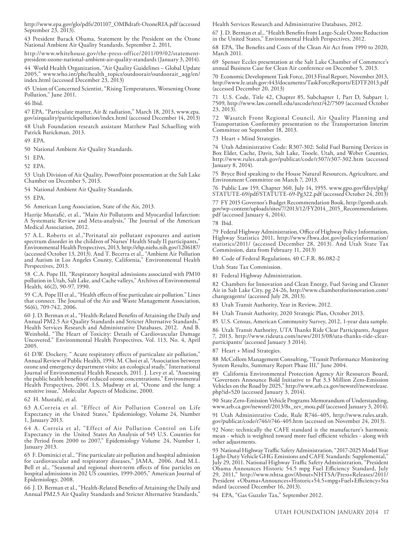http://www.epa.gov/glo/pdfs/201107\_OMBdraft-OzoneRIA.pdf (accessed September 23, 2013).

43 President Barack Obama, Statement by the President on the Ozone National Ambient Air Quality Standards, September 2, 2011,

http://www.whitehouse.gov/the-press-office/2011/09/02/statementpresident-ozone-national-ambient-air-quality-standards (January 3, 2014).

44 World Health Organization, "Air Quality Guidelines – Global Update 2005," www.who.int/phe/health\_topics/outdoorair/outdoorair\_aqg/en/ index.html (accessed December 23, 2013)

45 Union of Concerned Scientist, "Rising Temperatures, Worsening Ozone Pollution," June 2011.

46 Ibid.

47 EPA, "Particulate matter, Air & radiation," March 18, 2013, www.epa. gov/airquality/particlepollution/index.html (accessed December 14, 2013) 48 Utah Foundation research assistant Matthew Paul Schaelling with Patrick Barickman, 2013.

49 EPA.

50 National Ambient Air Quality Standards.

51 EPA.

52 EPA.

53 Utah Division of Air Quality, PowerPoint presentation at the Salt Lake Chamber on December 5, 2013.

54 National Ambient Air Quality Standards.

55 EPA.

56 American Lung Association, State of the Air, 2013.

Hazrije Mustafić, et al., "Main Air Pollutants and Myocardial Infarction: A Systematic Review and Meta-analysis," The Journal of the American Medical Association, 2012.

57 A.L. Roberts et al.,"Perinatal air pollutant exposures and autism spectrum disorder in the children of Nurses' Health Study II participants," Environmental Health Perspectives, 2013, http://ehp.niehs.nih.gov/1206187/ (accessed October 13, 2013). And T. Becerra et al., "Ambient Air Pollution and Autism in Los Angeles County, California," Environmental Health Perspectives, 2013.

58 C.A. Pope III, "Respiratory hospital admissions associated with PM10 pollution in Utah, Salt Lake, and Cache valleys," Archives of Environmental Health, 46(2), 90-97, 1990.

59 C.A. Pope III et al., "Health effects of fine particulate air pollution." Lines that connect. The Journal of the Air and Waste Management Association, 56(6), 709-742, 2006.

60 J. D. Berman et al., "Health-Related Benefits of Attaining the Daily and Annual PM2.5 Air Quality Standards and Stricter Alternative Standards," Health Services Research and Administrative Databases, 2012. And B. Weinhold, "The Heart of Toxicity: Details of Cardiovascular Damage Uncovered." Environmental Health Perspectives. Vol. 113, No. 4, April 2005.

61 D.W. Dockery, " Acute respiratory effects of particulate air pollution," Annual Review of Public Health, 1994. M. Choi et al, "Association between ozone and emergency department visits: an ecological study," International Journal of Environmental Health Research, 2011. J. Levy et al, "Assessing the public health benefits of reduced ozone concentrations." Environmental Health Perspectives, 2001. I.S. Mudway et al, "Ozone and the lung: a sensitive issue," Molecular Aspects of Medicine, 2000.

62 H. Mustafić, et al.

63 A.Correia et al. "Effect of Air Pollution Control on Life Expectancy in the United States," Epidemiology, Volume 24, Number 1, January 2013.

64 A. Correia et al, "Effect of Air Pollution Control on Life Expectancy in the United States An Analysis of 545 U.S. Counties for the Period from 2000 to 2007," Epidemiology Volume 24, Number 1, January 2013.

65 F. Dominici et al., "Fine particulate air pollution and hospital admission for cardiovascular and respiratory diseases," JAMA, 2006. And M.L. Bell et al., "Seasonal and regional short-term effects of fine particles on hospital admissions in 202 US counties, 1999-2005," American Journal of Epidemiology, 2008.

66 J. D. Berman et al., "Health-Related Benefits of Attaining the Daily and Annual PM2.5 Air Quality Standards and Stricter Alternative Standards,"

Health Services Research and Administrative Databases, 2012.

67 J. D. Berman et al., "Health Benefits from Large-Scale Ozone Reduction in the United States," Environmental Health Perspectives, 2012.

68 EPA, The Benefits and Costs of the Clean Air Act from 1990 to 2020, March 2011.

69 Spenser Eccles presentation at the Salt Lake Chamber of Commerce's annual Business Case for Clean Air conference on December 5, 2013.

70 Economic Development Task Force, 2013 Final Report, November 2013, http://www.le.utah.gov:443/documents/TaskForceReports/EDTF2013.pdf (accessed December 20, 2013)

71 U.S. Code, Title 42, Chapter 85, Subchapter 1, Part D, Subpart 1, 7509, http://www.law.cornell.edu/uscode/text/42/7509 (accessed October 23, 2013).

72 Wasatch Front Regional Council, Air Quality Planning and Transportation Conformity presentation to the Transportation Interim Committee on September 18, 2013.

73 Heart + Mind Strategies.

74 Utah Administrative Code: R307-302: Solid Fuel Burning Devices in Box Elder, Cache, Davis, Salt Lake, Tooele, Utah, and Weber Counties, http://www.rules.utah.gov/publicat/code/r307/r307-302.htm (accessed January 8, 2014).

75 Bryce Bird speaking to the House Natural Resources, Agriculture, and Environment Committee on March 7, 2013.

76 Public Law 159, Chapter 360, July 14, 1955. www.gpo.gov/fdsys/pkg/ STATUTE-69/pdf/STATUTE-69-Pg322.pdf (accessed October 24, 2013)

77 FY 2015 Governor's Budget Recommendation Book, http://gomb.utah. gov/wp-content/uploads/sites/7/2013/12/FY2014\_2015\_Recommendations. pdf (accessed January 4, 2014).

78 Ibid.

79 Federal Highway Administration, Office of Highway Policy Information, Highway Statistics 2011, http://www.fhwa.dot.gov/policyinformation/ statistics/2011/ (accessed December 28, 2013). And Utah State Tax Commission, data from February 11, 2013)

80 Code of Federal Regulations, 40 C.F.R. 86.082-2

Utah State Tax Commission.

81 Federal Highway Administration.

82 Chambers for Innovation and Clean Energy, Fuel Saving and Cleaner Air in Salt Lake City, pg 24-26, http://www.chambersforinnovation.com/ changeagents/ (accessed July 28, 2013).

83 Utah Transit Authority, Year in Review, 2012.

84 Utah Transit Authority, 2020 Strategic Plan, October 2013.

85 U.S. Census, American Community Survey, 2012, 1-year data sample.

86 Utah Transit Authority, UTA Thanks Ride Clear Participants, August 7, 2013, http://www.rideuta.com/news/2013/08/uta-thanks-ride-clearparticipants/ (accessed January 3 2014).

87 Heart + Mind Strategies.

88 McCollom Management Consulting, "Transit Performance Monitoring System Results, Summary Report Phase III," June 2004.

89 California Environmental Protection Agency Air Resources Board, "Governors Announce Bold Initiative to Put 3.3 Million Zero-Emission Vehicles on the Road by 2025," http://www.arb.ca.gov/newsrel/newsrelease. php?id=520 (accessed January 3, 2014).

90 State Zero-Emission Vehicle Programs Memorandum of Understanding, www.arb.ca.gov/newsrel/2013/8s\_zev\_mou.pdf (accessed January 3, 2014).

91 Utah Administrative Code, Rule R746-405, http://www.rules.utah. gov/publicat/code/r746/r746-405.htm (accessed on November 24, 2013).

92 Note: technically the CAFE standard is the manufacture's harmonic mean - which is weighted toward more fuel efficient vehicles - along with other adjustments.

93 National Highway Traffic Safety Administration, "2017-2025 Model Year Light-Duty Vehicle GHG Emissions and CAFE Standards: Supplemental," July 29, 2011. National Highway Traffic Safety Administration, "President Obama Announces Historic 54.5 mpg Fuel Efficiency Standard, July 29, 2011," http://www.nhtsa.gov/About+NHTSA/Press+Releases/2011/ President +Obama+Announces+Historic+54.5+mpg+Fuel+Efficiency+Sta ndard (accessed December 16, 2013).

94 EPA, "Gas Guzzler Tax," September 2012.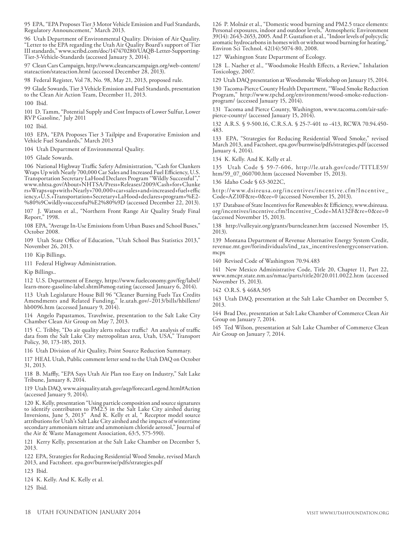95 EPA, "EPA Proposes Tier 3 Motor Vehicle Emission and Fuel Standards, Regulatory Announcement," March 2013.

96 Utah Department of Environmental Quality. Division of Air Quality. "Letter to the EPA regarding the Utah Air Quality Board's support of Tier III standards," www.scribd.com/doc/147470280/UAQB-Letter-Supporting-Tier-3-Vehicle-Standards (accessed January 3, 2014).

97 Clean Cars Campaign, http://www.cleancarscampaign.org/web-content/ stateaction/stateaction.html (accessed December 28, 2013).

98 Federal Register, Vol 78, No. 98, May 21, 2013, proposed rule.

99 Glade Sowards, Tier 3 Vehicle Emission and Fuel Standards, presentation to the Clean Air Action Team, December 11, 2013.

100 Ibid.

101 D. Tamm, "Potential Supply and Cost Impacts of Lower Sulfur, Lower RVP Gasoline," July 2011

102 Ibid.

103 EPA, "EPA Proposes Tier 3 Tailpipe and Evaporative Emission and Vehicle Fuel Standards," March 2013

104 Utah Department of Environmental Quality.

105 Glade Sowards.

106 National Highway Traffic Safety Administration, "Cash for Clunkers Wraps Up with Nearly 700,000 Car Sales and Increased Fuel Efficiency, U.S. Transportation Secretary LaHood Declares Program "Wildly Successful"," www.nhtsa.gov/About+NHTSA/Press+Releases/2009/Cash+for+Clunke rs+Wraps+up+with+Nearly+700,000+car+sales+and+increased+fuel+effic iency,+U.S.+Transportation+Secretary+LaHood+declares+program+%E2- %80%9Cwildly+successful%E2%80%9D (accessed December 22, 2013).

107 J. Watson et al., "Northern Front Range Air Quality Study Final Report," 1998.

108 EPA, "Average In-Use Emissions from Urban Buses and School Buses," October 2008.

109 Utah State Office of Education, "Utah School Bus Statistics 2013," November 26, 2013.

110 Kip Billings.

111 Federal Highway Administration.

Kip Billings..

112 U.S. Department of Energy, https://www.fueleconomy.gov/feg/label/ learn-more-gasoline-label.shtml#smog-rating (accessed January 6, 2014).

113 Utah Legislature House Bill 96 "Cleaner Burning Fuels Tax Credits Amendments and Related Funding," le.utah.gov/~2013/bills/hbillenr/ hb0096.htm (accessed January 9, 2014).

114 Angelo Papastamos, Travelwise, presentation to the Salt Lake City Chamber Clean Air Group on May 7, 2013.

115 C. Tribby, "Do air quality alerts reduce traffic? An analysis of traffic data from the Salt Lake City metropolitan area, Utah, USA," Transport Policy, 30, 173-185, 2013.

116 Utah Division of Air Quality, Point Source Reduction Summary.

117 HEAL Utah, Public comment letter send to the Utah DAQ on October 31, 2013.

118 B. Maffly, "EPA Says Utah Air Plan too Easy on Industry," Salt Lake Tribune, January 8, 2014.

119 Utah DAQ, www.airquality.utah.gov/aqp/forecastLegend.html#Action (accessed January 9, 2014).

120 K. Kelly, presentation "Using particle composition and source signatures to identify contributors to PM2.5 in the Salt Lake City airshed during Inversions, June 5, 2013" And K. Kelly et al, " Receptor model source attributions for Utah's Salt Lake City airshed and the impacts of wintertime secondary ammonium nitrate and ammonium chloride aerosol," Journal of the Air & Waste Management Association, 63:5, 575-590).

121 Kerry Kelly, presentation at the Salt Lake Chamber on December 5, 2013.

122 EPA, Strategies for Reducing Residential Wood Smoke, revised March 2013, and Factsheet. epa.gov/burnwise/pdfs/strategies.pdf

123 Ibid.

124 K. Kelly. And K. Kelly et al.

125 Ibid.

126 P. Molnár et al., "Domestic wood burning and PM2.5 trace elements: Personal exposures, indoor and outdoor levels," Atmospheric Environment 39(14): 2643-2653, 2005. And P. Gustafson et al., "Indoor levels of polycyclic aromatic hydrocarbons in homes with or without wood burning for heating," Environ Sci Technol. 42(14):5074-80, 2008.

127 Washington State Department of Ecology.

128 L. Naeher et al., "Woodsmoke Health Effects, a Review," Inhalation Toxicology, 2007.

129 Utah DAQ presentation at Woodsmoke Workshop on January 15, 2014.

130 Tacoma-Pierce County Health Department, "Wood Smoke Reduction Program," http://www.tpchd.org/environment/wood-smoke-reductionprogram/ (accessed January 15, 2014).

131 Tacoma and Pierce County, Washington, www.tacoma.com/air-safepierce-county/ (accessed January 15, 2014).

132 A.R.S. § 9-500.16, C.R.S.A. § 25-7-401 to -413, RCWA 70.94.450- 483.

133 EPA, "Strategies for Reducing Residential Wood Smoke," revised March 2013, and Factsheet, epa.gov/burnwise/pdfs/strategies.pdf (accessed January 4, 2014).

134 K. Kelly. And K. Kelly et al.

135 Utah Code § 59-7-606, http://le.utah.gov/code/TITLE59/ htm/59\_07\_060700.htm (accessed November 15, 2013).

136 Idaho Code § 63-3022C,

http://www.dsireusa.org/incentives/incentive.cfm?Incentive\_ Code=AZ10F&re=0&ee=0 (accessed November 15, 2013).

137 Database of State Incentives for Renewables & Efficiency, www.dsireusa. org/incentives/incentive.cfm?Incentive\_Code=MA132F&re=0&ee=0 (accessed November 15, 2013).

138 http://valleyair.org/grants/burncleaner.htm (accessed November 15, 2013).

139 Montana Department of Revenue Alternative Energy System Credit, revenue.mt.gov/forindividuals/ind\_tax\_incentives/energyconservation. mcpx

140 Revised Code of Washington 70.94.483

141 New Mexico Administrative Code, Title 20, Chapter 11, Part 22, www.nmcpr.state.nm.us/nmac/parts/title20/20.011.0022.htm (accessed November 15, 2013).

142 O.R.S. § 468A.505

143 Utah DAQ, presentation at the Salt Lake Chamber on December 5, 2013.

144 Brad Dee, presentation at Salt Lake Chamber of Commerce Clean Air Group on January 7, 2014.

145 Ted Wilson, presentation at Salt Lake Chamber of Commerce Clean Air Group on January 7, 2014.